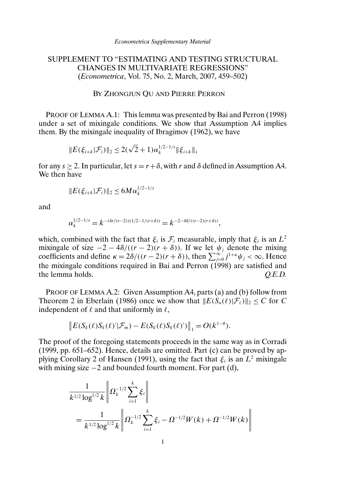# SUPPLEMENT TO "ESTIMATING AND TESTING STRUCTURAL CHANGES IN MULTIVARIATE REGRESSIONS" (*Econometrica*, Vol. 75, No. 2, March, 2007, 459–502)

#### BY ZHONGJUN QU AND PIERRE PERRON

PROOF OF LEMMA A.1: This lemma was presented by Bai and Perron (1998) under a set of mixingale conditions. We show that Assumption A4 implies them. By the mixingale inequality of Ibragimov (1962), we have

$$
||E(\xi_{i+k}|\mathcal{F}_i)||_2 \leq 2(\sqrt{2}+1)\alpha_k^{1/2-1/s}||\xi_{i+k}||_s
$$

for any  $s > 2$ . In particular, let  $s = r + \delta$ , with r and  $\delta$  defined in Assumption A4. We then have

$$
||E(\xi_{i+k}|\mathcal{F}_i)||_2 \leq 6M\alpha_k^{1/2-1/s}
$$

and

$$
\alpha_k^{1/2-1/s} = k^{-(4r/(r-2))(1/2-1/(r+\delta))} = k^{-2-4\delta/((r-2)(r+\delta))},
$$

which, combined with the fact that  $\xi_i$  is  $\mathcal{F}_i$  measurable, imply that  $\xi_i$  is an  $L^2$ mixingale of size  $-2 - 4\delta/((r - 2)(r + \delta))$ . If we let  $\psi_i$  denote the mixing coefficients and define  $\kappa = 2\delta/((r-2)(r+\delta))$ , then  $\sum_{j=0}^{\infty} j^{1+\kappa}\psi_j < \infty$ . Hence the mixingale conditions required in Bai and Perron  $(1998)$  are satisfied and the lemma holds.  $Q.E.D.$ 

PROOF OF LEMMA A.2: Given Assumption A4, parts (a) and (b) follow from Theorem 2 in Eberlain (1986) once we show that  $||E(S_n(\ell)|\mathcal{F}_{\ell})||_2 \leq C$  for C independent of  $\ell$  and that uniformly in  $\ell$ ,

$$
\left\|E(S_k(\ell)S_k(\ell)'\vert \mathcal{F}_m) - E(S_k(\ell)S_k(\ell)')\right\|_1 = O(k^{1-\theta}).
$$

The proof of the foregoing statements proceeds in the same way as in Corradi (1999, pp. 651–652). Hence, details are omitted. Part (c) can be proved by applying Corollary 2 of Hansen (1991), using the fact that  $\xi_i$  is an  $L^2$  mixingale with mixing size  $-2$  and bounded fourth moment. For part (d),

$$
\frac{1}{k^{1/2} \log^{1/2} k} \left\| \Omega_k^{-1/2} \sum_{i=1}^k \xi_i \right\|
$$
  
= 
$$
\frac{1}{k^{1/2} \log^{1/2} k} \left\| \Omega_k^{-1/2} \sum_{i=1}^k \xi_i - \Omega^{-1/2} W(k) + \Omega^{-1/2} W(k) \right\|
$$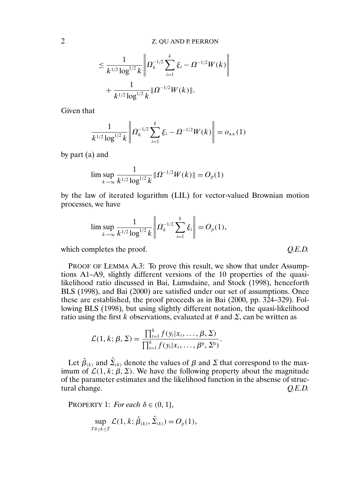$$
\leq \frac{1}{k^{1/2} \log^{1/2} k} \left\| \Omega_k^{-1/2} \sum_{i=1}^k \xi_i - \Omega^{-1/2} W(k) \right\|
$$
  
+ 
$$
\frac{1}{k^{1/2} \log^{1/2} k} \| \Omega^{-1/2} W(k) \|.
$$

Given that

$$
\frac{1}{k^{1/2} \log^{1/2} k} \left\| \Omega_k^{-1/2} \sum_{i=1}^k \xi_i - \Omega^{-1/2} W(k) \right\| = o_{\text{a.s.}}(1)
$$

by part (a) and

$$
\limsup_{k \to \infty} \frac{1}{k^{1/2} \log^{1/2} k} \| \Omega^{-1/2} W(k) \| = O_p(1)
$$

by the law of iterated logarithm (LIL) for vector-valued Brownian motion processes, we have

$$
\lim \sup_{k \to \infty} \frac{1}{k^{1/2} \log^{1/2} k} \left\| \Omega_k^{-1/2} \sum_{i=1}^k \xi_i \right\| = O_p(1),
$$

which completes the proof.  $Q.E.D.$ 

PROOF OF LEMMA A.3: To prove this result, we show that under Assumptions A1–A9, slightly different versions of the 10 properties of the quasilikelihood ratio discussed in Bai, Lumsdaine, and Stock (1998), henceforth BLS (1998), and Bai (2000) are satisfied under our set of assumptions. Once these are established, the proof proceeds as in Bai (2000, pp. 324–329). Following BLS (1998), but using slightly different notation, the quasi-likelihood ratio using the first k observations, evaluated at  $\theta$  and  $\Sigma$ , can be written as

$$
\mathcal{L}(1, k; \beta, \Sigma) = \frac{\prod_{i=1}^{k} f(y_i | x_i, \dots, \beta, \Sigma)}{\prod_{i=1}^{k} f(y_i | x_i, \dots, \beta^0, \Sigma^0)}.
$$

Let  $\hat{\beta}_{(k)}$  and  $\hat{\Sigma}_{(k)}$  denote the values of  $\beta$  and  $\Sigma$  that correspond to the maximum of  $\mathcal{L}(1, k; \beta, \Sigma)$ . We have the following property about the magnitude of the parameter estimates and the likelihood function in the absense of structural change. *Q.E.D.*

PROPERTY 1: *For each*  $\delta \in (0, 1]$ ,

$$
\sup_{T\delta\leq k\leq T}\mathcal{L}(1,k;\hat{\beta}_{(k)},\hat{\Sigma}_{(k)})=O_p(1),
$$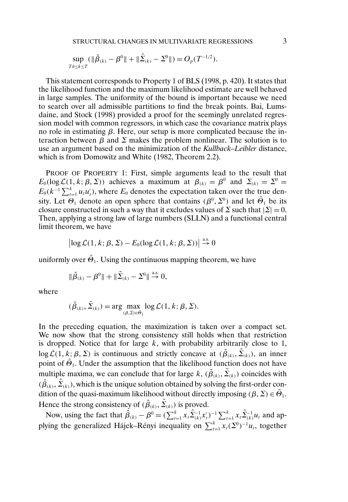$$
\sup_{T\delta\leq k\leq T}(\|\hat{\beta}_{(k)}-\beta^0\|+\|\hat{\Sigma}_{(k)}-\Sigma^0\|)=O_p(T^{-1/2}).
$$

This statement corresponds to Property 1 of BLS (1998, p. 420). It states that the likelihood function and the maximum likelihood estimate are well behaved in large samples. The uniformity of the bound is important because we need to search over all admissible partitions to find the break points. Bai, Lumsdaine, and Stock (1998) provided a proof for the seemingly unrelated regression model with common regressors, in which case the covariance matrix plays no role in estimating  $β$ . Here, our setup is more complicated because the interaction between  $\beta$  and  $\Sigma$  makes the problem nonlinear. The solution is to use an argument based on the minimization of the *Kullback–Leibler* distance, which is from Domowitz and White (1982, Theorem 2.2).

PROOF OF PROPERTY 1: First, simple arguments lead to the result that  $E_0(\log \mathcal{L}(1, k; \beta, \Sigma))$  achieves a maximum at  $\beta_{(k)} = \beta^0$  and  $\Sigma_{(k)} = \Sigma^0 =$  $E_0(k^{-1}\sum_{t=1}^k u_t u_t)$ , where  $E_0$  denotes the expectation taken over the true density. Let  $\Theta_1$  denote an open sphere that contains  $(\beta^0, \Sigma^0)$  and let  $\overline{\Theta}_1$  be its closure constructed in such a way that it excludes values of  $\Sigma$  such that  $|\Sigma| = 0$ . Then, applying a strong law of large numbers (SLLN) and a functional central limit theorem, we have

$$
\left|\log \mathcal{L}(1, k; \beta, \Sigma) - E_0(\log \mathcal{L}(1, k; \beta, \Sigma))\right| \stackrel{\text{a.s.}}{\rightarrow} 0
$$

uniformly over  $\bar{\Theta}_1$ . Using the continuous mapping theorem, we have

$$
\|\tilde{\beta}_{(k)} - \beta^0\| + \|\tilde{\Sigma}_{(k)} - \Sigma^0\| \stackrel{\text{a.s.}}{\rightarrow} 0,
$$

where

$$
(\tilde{\beta}_{(k)}, \tilde{\Sigma}_{(k)}) = \arg \max_{(\beta, \Sigma) \in \tilde{\Theta}_1} \log \mathcal{L}(1, k; \beta, \Sigma).
$$

In the preceding equation, the maximization is taken over a compact set. We now show that the strong consistency still holds when that restriction is dropped. Notice that for large  $k$ , with probability arbitrarily close to 1, log  $\mathcal{L}(1, k; \beta, \Sigma)$  is continuous and strictly concave at  $(\tilde{\beta}_{(k)}, \tilde{\Sigma}_{(k)})$ , an inner point of  $\bar{\Theta}_1$ . Under the assumption that the likelihood function does not have multiple maxima, we can conclude that for large  $k$ ,  $(\tilde{\beta}_{(k)}, \tilde{\Sigma}_{(k)})$  coincides with  $(\hat{\beta}_{(k)}, \hat{\Sigma}_{(k)})$ , which is the unique solution obtained by solving the first-order condition of the quasi-maximum likelihood without directly imposing  $(\beta, \Sigma) \in \overline{\Theta}_1$ . Hence the strong consistency of  $(\hat{\beta}_{(k)}, \hat{\Sigma}_{(k)})$  is proved.

Now, using the fact that  $\hat{\beta}_{(k)} - \beta^0 = (\sum_{t=1}^k x_t \hat{\Sigma}_{(k)}^{-1} x_t')^{-1} \sum_{t=1}^k x_t \hat{\Sigma}_{(k)}^{-1} u_t$  and applying the generalized Hájek–Rényi inequality on  $\sum_{t=1}^{k} x_t(\Sigma^{0})^{-1}u_t$ , together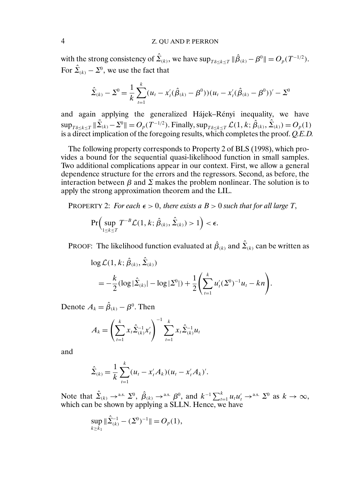with the strong consistency of  $\hat{\Sigma}_{(k)}$ , we have  $\sup_{T\delta\leq k\leq T} \|\hat{\beta}_{(k)} - \beta^0\| = O_p(T^{-1/2})$ . For  $\hat{\Sigma}_{(k)} - \Sigma^0$ , we use the fact that

$$
\hat{\Sigma}_{(k)} - \Sigma^{0} = \frac{1}{k} \sum_{t=1}^{k} (u_{t} - x_{t}'(\hat{\beta}_{(k)} - \beta^{0})) (u_{t} - x_{t}'(\hat{\beta}_{(k)} - \beta^{0}))' - \Sigma^{0}
$$

and again applying the generalized Hájek–Rényi inequality, we have  $\sup_{T_{\delta\leq k\leq T}} \|\tilde{\Sigma}_{(k)} - \Sigma^0\| = O_p(T^{-1/2})$ . Finally,  $\sup_{T_{\delta\leq k\leq T}} \mathcal{L}(1, k; \hat{\beta}_{(k)}, \hat{\Sigma}_{(k)}) = O_p(1)$ is a direct implication of the foregoing results, which completes the proof. *Q.E.D.*

The following property corresponds to Property 2 of BLS (1998), which provides a bound for the sequential quasi-likelihood function in small samples. Two additional complications appear in our context. First, we allow a general dependence structure for the errors and the regressors. Second, as before, the interaction between  $\beta$  and  $\Sigma$  makes the problem nonlinear. The solution is to apply the strong approximation theorem and the LIL.

PROPERTY 2: *For each*  $\epsilon > 0$ *, there exists a*  $B > 0$  *such that for all large T*,

$$
\Pr\Bigl(\sup_{1\leq k\leq T}T^{-B}\mathcal{L}(1,k;\hat{\beta}_{(k)},\hat{\Sigma}_{(k)})>1\Bigr)<\epsilon.
$$

PROOF: The likelihood function evaluated at  $\hat{\beta}_{(k)}$  and  $\hat{\Sigma}_{(k)}$  can be written as

$$
\log \mathcal{L}(1, k; \hat{\beta}_{(k)}, \hat{\Sigma}_{(k)})
$$
  
=  $-\frac{k}{2} (\log |\hat{\Sigma}_{(k)}| - \log |\Sigma^0|) + \frac{1}{2} \left( \sum_{t=1}^k u'_t (\Sigma^0)^{-1} u_t - kn \right).$ 

Denote  $A_k = \hat{\beta}_{(k)} - \beta^0$ . Then

$$
A_k = \left(\sum_{t=1}^k x_t \hat{\Sigma}_{(k)}^{-1} x_t'\right)^{-1} \sum_{t=1}^k x_t \hat{\Sigma}_{(k)}^{-1} u_t
$$

and

$$
\hat{\Sigma}_{(k)} = \frac{1}{k} \sum_{t=1}^{k} (u_t - x'_t A_k)(u_t - x'_t A_k)'.
$$

Note that  $\hat{\Sigma}_{(k)} \to$ <sup>a.s.</sup>  $\hat{\Sigma}^0$ ,  $\hat{\beta}_{(k)} \to$ <sup>a.s.</sup>  $\beta^0$ , and  $k^{-1} \sum_{t=1}^k u_t u_t' \to$ <sup>a.s.</sup>  $\Sigma^0$  as  $k \to \infty$ , which can be shown by applying a SLLN. Hence, we have

$$
\sup_{k \ge k_1} \|\hat{\Sigma}_{(k)}^{-1} - (\Sigma^0)^{-1}\| = O_p(1),
$$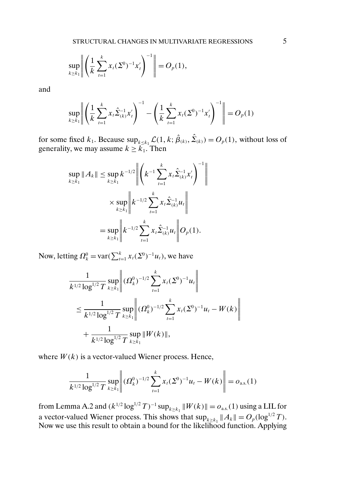$$
\sup_{k\geq k_1}\left\|\left(\frac{1}{k}\sum_{t=1}^k x_t(\Sigma^0)^{-1}x_t'\right)^{-1}\right\|=O_p(1),
$$

and

$$
\sup_{k \ge k_1} \left\| \left( \frac{1}{k} \sum_{t=1}^k x_t \hat{\Sigma}_{(k)}^{-1} x_t' \right)^{-1} - \left( \frac{1}{k} \sum_{t=1}^k x_t (\Sigma^0)^{-1} x_t' \right)^{-1} \right\| = O_p(1)
$$

for some fixed  $k_1$ . Because  $\sup_{k \leq k_1} \mathcal{L}(1, k; \hat{\beta}_{(k)}, \hat{\Sigma}_{(k)}) = O_p(1)$ , without loss of generality, we may assume  $k \geq k_1$ . Then

$$
\sup_{k \ge k_1} ||A_k|| \le \sup_{k \ge k_1} k^{-1/2} \left\| \left( k^{-1} \sum_{t=1}^k x_t \hat{\Sigma}_{(k)}^{-1} x_t' \right)^{-1} \right\|
$$
  

$$
\times \sup_{k \ge k_1} \left\| k^{-1/2} \sum_{t=1}^k x_t \hat{\Sigma}_{(k)}^{-1} u_t \right\|
$$
  

$$
= \sup_{k \ge k_1} \left\| k^{-1/2} \sum_{t=1}^k x_t \hat{\Sigma}_{(k)}^{-1} u_t \right\| O_p(1).
$$

Now, letting  $\Omega_k^0 = \text{var}(\sum_{t=1}^k x_t(\Sigma^0)^{-1}u_t)$ , we have

$$
\frac{1}{k^{1/2} \log^{1/2} T} \sup_{k \ge k_1} \left\| (\Omega_k^0)^{-1/2} \sum_{t=1}^k x_t (\Sigma^0)^{-1} u_t \right\|
$$
  
\n
$$
\le \frac{1}{k^{1/2} \log^{1/2} T} \sup_{k \ge k_1} \left\| (\Omega_k^0)^{-1/2} \sum_{t=1}^k x_t (\Sigma^0)^{-1} u_t - W(k) \right\|
$$
  
\n
$$
+ \frac{1}{k^{1/2} \log^{1/2} T} \sup_{k \ge k_1} \| W(k) \|,
$$

where  $W(k)$  is a vector-valued Wiener process. Hence,

$$
\frac{1}{k^{1/2}\log^{1/2} T} \sup_{k\ge k_1} \left\| (\Omega_k^0)^{-1/2} \sum_{t=1}^k x_t (\Sigma^0)^{-1} u_t - W(k) \right\| = o_{\text{a.s.}}(1)
$$

from Lemma A.2 and  $(k^{1/2} \log^{1/2} T)^{-1} \sup_{k \geq k_1} ||W(k)|| = o_{\text{a.s.}}(1)$  using a LIL for a vector-valued Wiener process. This shows that  $\sup_{k\geq k_1} ||A_k|| = O_p(\log^{1/2} T)$ . Now we use this result to obtain a bound for the likelihood function. Applying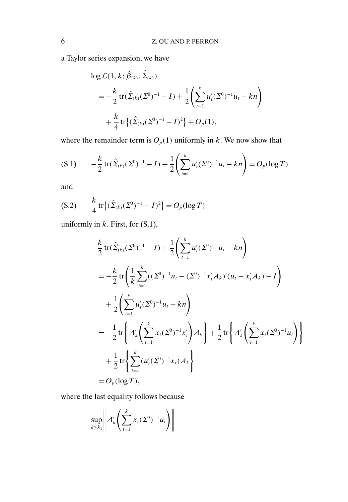a Taylor series expansion, we have

$$
\log \mathcal{L}(1, k; \hat{\beta}_{(k)}, \hat{\Sigma}_{(k)})
$$
  
=  $-\frac{k}{2}$  tr $(\hat{\Sigma}_{(k)}(\Sigma^0)^{-1} - I) + \frac{1}{2} \left( \sum_{t=1}^k u'_t (\Sigma^0)^{-1} u_t - k n \right)$   
+  $\frac{k}{4}$  tr $\{ (\hat{\Sigma}_{(k)}(\Sigma^0)^{-1} - I)^2 \} + O_p(1),$ 

where the remainder term is  $O_p(1)$  uniformly in k. We now show that

$$
(S.1) \qquad -\frac{k}{2} \operatorname{tr}(\hat{\Sigma}_{(k)}(\Sigma^0)^{-1} - I) + \frac{1}{2} \left( \sum_{t=1}^k u'_t(\Sigma^0)^{-1} u_t - kn \right) = O_p(\log T)
$$

and

$$
(S.2) \qquad \frac{k}{4} \operatorname{tr} \left\{ (\hat{\Sigma}_{(k)} (\Sigma^0)^{-1} - I)^2 \right\} = O_p(\log T)
$$

uniformly in  $k$ . First, for  $(S.1)$ ,

$$
-\frac{k}{2} \text{tr}(\hat{\Sigma}_{(k)}(\Sigma^0)^{-1} - I) + \frac{1}{2} \left( \sum_{t=1}^k u_t'(\Sigma^0)^{-1} u_t - kn \right)
$$
  
\n
$$
= -\frac{k}{2} \text{tr} \left( \frac{1}{k} \sum_{t=1}^k ((\Sigma^0)^{-1} u_t - (\Sigma^0)^{-1} x_t' A_k)' (u_t - x_t' A_k) - I \right)
$$
  
\n
$$
+ \frac{1}{2} \left( \sum_{t=1}^k u_t'(\Sigma^0)^{-1} u_t - kn \right)
$$
  
\n
$$
= -\frac{1}{2} \text{tr} \left\{ A_k' \left( \sum_{t=1}^k x_t(\Sigma^0)^{-1} x_t' \right) A_k \right\} + \frac{1}{2} \text{tr} \left\{ A_k' \left( \sum_{t=1}^k x_t(\Sigma^0)^{-1} u_t \right) \right\}
$$
  
\n
$$
+ \frac{1}{2} \text{tr} \left\{ \sum_{t=1}^k (u_t'(\Sigma^0)^{-1} x_t) A_k \right\}
$$
  
\n
$$
= O_p(\log T),
$$

where the last equality follows because

$$
\sup_{k\geq k_1}\bigg\|A'_k\bigg(\sum_{t=1}^k x_t(\Sigma^0)^{-1}u_t\bigg)\bigg\|
$$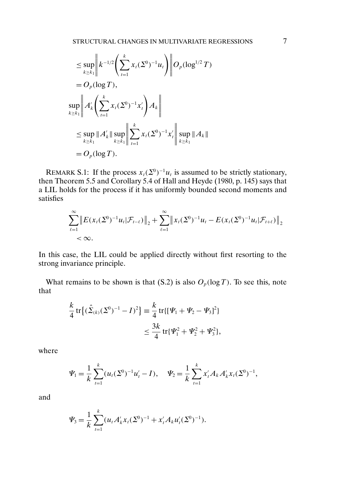$$
\leq \sup_{k \geq k_1} \left\| k^{-1/2} \left( \sum_{t=1}^k x_t (\Sigma^0)^{-1} u_t \right) \right\| O_p(\log^{1/2} T)
$$
  
\n=  $O_p(\log T)$ ,  
\n
$$
\sup_{k \geq k_1} \left\| A'_k \left( \sum_{t=1}^k x_t (\Sigma^0)^{-1} x'_t \right) A_k \right\|
$$
  
\n
$$
\leq \sup_{k \geq k_1} \| A'_k \| \sup_{k \geq k_1} \left\| \sum_{t=1}^k x_t (\Sigma^0)^{-1} x'_t \right\| \sup_{k \geq k_1} \| A_k \|
$$
  
\n=  $O_p(\log T)$ .

REMARK S.1: If the process  $x_t(\Sigma^0)^{-1}u_t$  is assumed to be strictly stationary, then Theorem 5.5 and Corollary 5.4 of Hall and Heyde (1980, p. 145) says that a LIL holds for the process if it has uniformly bounded second moments and satisfies

$$
\sum_{\ell=1}^{\infty} \left\| E(x_t(\Sigma^0)^{-1} u_t | \mathcal{F}_{t-\ell}) \right\|_2 + \sum_{\ell=1}^{\infty} \left\| x_t(\Sigma^0)^{-1} u_t - E(x_t(\Sigma^0)^{-1} u_t | \mathcal{F}_{t+\ell}) \right\|_2 < \infty.
$$

In this case, the LIL could be applied directly without first resorting to the strong invariance principle.

What remains to be shown is that (S.2) is also  $O_p(\log T)$ . To see this, note that

$$
\frac{k}{4} \operatorname{tr} \{ (\hat{\Sigma}_{(k)} (\Sigma^0)^{-1} - I)^2 \} \equiv \frac{k}{4} \operatorname{tr} \{ [\Psi_1 + \Psi_2 - \Psi_3]^2 \}
$$
  

$$
\leq \frac{3k}{4} \operatorname{tr} \{ \Psi_1^2 + \Psi_2^2 + \Psi_3^2 \},
$$

where

$$
\Psi_1 = \frac{1}{k} \sum_{t=1}^k (u_t(\Sigma^0)^{-1} u'_t - I), \quad \Psi_2 = \frac{1}{k} \sum_{t=1}^k x'_t A_k A'_k x_t (\Sigma^0)^{-1},
$$

and

$$
\Psi_3 = \frac{1}{k} \sum_{t=1}^k (u_t A'_k x_t (\Sigma^0)^{-1} + x'_t A_k u'_t (\Sigma^0)^{-1}).
$$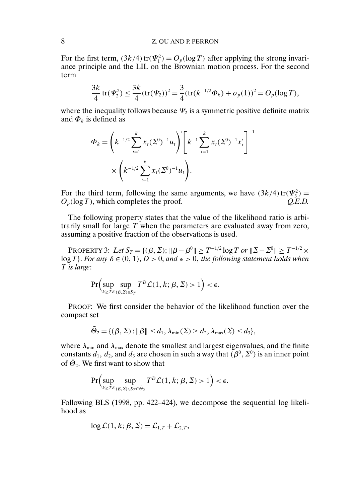## 8 Z. QU AND P. PERRON

For the first term,  $(3k/4)$  tr $(\Psi_1^2) = O_p(\log T)$  after applying the strong invariance principle and the LIL on the Brownian motion process. For the second term

$$
\frac{3k}{4}\operatorname{tr}(\Psi_2^2) \le \frac{3k}{4}(\operatorname{tr}(\Psi_2))^2 = \frac{3}{4}(\operatorname{tr}(k^{-1/2}\Phi_k) + o_p(1))^2 = O_p(\log T),
$$

where the inequality follows because  $\Psi_2$  is a symmetric positive definite matrix and  $\Phi_k$  is defined as

$$
\Phi_k = \left( k^{-1/2} \sum_{t=1}^k x_t (\Sigma^0)^{-1} u_t \right)' \left[ k^{-1} \sum_{t=1}^k x_t (\Sigma^0)^{-1} x_t' \right]^{-1}
$$

$$
\times \left( k^{-1/2} \sum_{t=1}^k x_t (\Sigma^0)^{-1} u_t \right).
$$

For the third term, following the same arguments, we have  $(3k/4)$  tr $(\Psi_3^2)$  =  $O_p(\log T)$ , which completes the proof.  $Q.E.D.$ 

The following property states that the value of the likelihood ratio is arbitrarily small for large  $T$  when the parameters are evaluated away from zero, assuming a positive fraction of the observations is used.

PROPERTY 3: Let  $S_T = \{(\beta, \Sigma) : ||\beta - \beta^0|| \geq T^{-1/2} \log T \text{ or } ||\Sigma - \Sigma^0|| \geq T^{-1/2} \times$  $log T$ }. *For any*  $\delta \in (0, 1)$ ,  $D > 0$ , and  $\epsilon > 0$ , the following statement holds when T *is large*:

$$
\Pr\Bigl(\sup_{k\geq T\delta} \sup_{(\beta,\Sigma)\in S_T} T^D \mathcal{L}(1,k;\beta,\Sigma) > 1\Bigr) < \epsilon.
$$

PROOF: We first consider the behavior of the likelihood function over the compact set

$$
\bar{\Theta}_2 = \{(\beta, \Sigma) : ||\beta|| \le d_1, \lambda_{\min}(\Sigma) \ge d_2, \lambda_{\max}(\Sigma) \le d_3\},\
$$

where  $\lambda_{\min}$  and  $\lambda_{\max}$  denote the smallest and largest eigenvalues, and the finite constants  $d_1$ ,  $d_2$ , and  $d_3$  are chosen in such a way that  $(\beta^0, \Sigma^0)$  is an inner point of  $\Theta_2$ . We first want to show that

$$
\Pr\Bigl(\sup_{k\geq T\delta}\sup_{(\beta,\Sigma)\in S_T\cap\bar{\Theta}_2}T^D\mathcal{L}(1,k;\beta,\Sigma)>1\Bigr)<\epsilon.
$$

Following BLS (1998, pp. 422–424), we decompose the sequential log likelihood as

$$
\log \mathcal{L}(1, k; \beta, \Sigma) = \mathcal{L}_{1,T} + \mathcal{L}_{2,T},
$$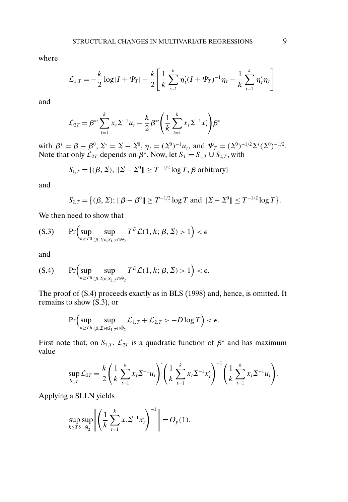where

$$
\mathcal{L}_{1,T} = -\frac{k}{2}\log|I + \Psi_T| - \frac{k}{2}\left[\frac{1}{k}\sum_{t=1}^k \eta'_t(I + \Psi_T)^{-1}\eta_t - \frac{1}{k}\sum_{t=1}^k \eta'_t\eta_t\right]
$$

and

$$
\mathcal{L}_{2T} = \beta^* \sum_{t=1}^k x_t \Sigma^{-1} u_t - \frac{k}{2} \beta^* \left( \frac{1}{k} \sum_{t=1}^k x_t \Sigma^{-1} x_t' \right) \beta^*
$$

with  $\beta^* = \beta - \beta^0$ ,  $\Sigma^* = \Sigma - \Sigma^0$ ,  $\eta_t = (\Sigma^0)^{-1}u_t$ , and  $\Psi_T = (\Sigma^0)^{-1/2}\Sigma^*(\Sigma^0)^{-1/2}$ . Note that only  $\mathcal{L}_{2T}$  depends on  $\beta^*$ . Now, let  $S_T = S_{1,T} \cup S_{2,T}$ , with

$$
S_{1,T} = \{(\beta, \Sigma) ; \|\Sigma - \Sigma^0\| \ge T^{-1/2} \log T, \beta \text{ arbitrary}\}
$$

and

$$
S_{2,T} = \{ (\beta, \Sigma) ; \|\beta - \beta^0\| \ge T^{-1/2} \log T \text{ and } \|\Sigma - \Sigma^0\| \le T^{-1/2} \log T \}.
$$

We then need to show that

$$
\text{(S.3)} \qquad \Pr\Bigl(\sup_{k \ge T\delta} \sup_{(\beta, \Sigma) \in S_1, \gamma \cap \bar{\Theta}_2} T^D \mathcal{L}(1, k; \beta, \Sigma) > 1\Bigr) < \epsilon
$$

and

$$
\text{(S.4)} \qquad \Pr\Bigl(\sup_{k\geq T\delta}\sup_{(\beta,\Sigma)\in S_{2,T}\cap\bar{\Theta}_2}T^{\mathcal{D}}\mathcal{L}(1,k;\beta,\Sigma)>1\Bigr)<\epsilon.
$$

The proof of (S.4) proceeds exactly as in BLS (1998) and, hence, is omitted. It remains to show (S.3), or

$$
\Pr\Bigl(\sup_{k\geq T\delta}\sup_{(\beta,\Sigma)\in S_{1,T}\cap\bar{\Theta}_2}\mathcal{L}_{1,T}+\mathcal{L}_{2,T}>-D\log T\Bigr)<\epsilon.
$$

First note that, on  $S_{1,T}$ ,  $\mathcal{L}_{2T}$  is a quadratic function of  $\beta^*$  and has maximum value

$$
\sup_{S_{1,T}} \mathcal{L}_{2T} = \frac{k}{2} \left( \frac{1}{k} \sum_{t=1}^k x_t \Sigma^{-1} u_t \right)' \left( \frac{1}{k} \sum_{t=1}^k x_t \Sigma^{-1} x_t' \right)^{-1} \left( \frac{1}{k} \sum_{t=1}^k x_t \Sigma^{-1} u_t \right).
$$

Applying a SLLN yields

$$
\sup_{k \ge T\delta} \sup_{\bar{\Theta}_2} \left\| \left( \frac{1}{k} \sum_{t=1}^k x_t \Sigma^{-1} x_t' \right)^{-1} \right\| = O_p(1).
$$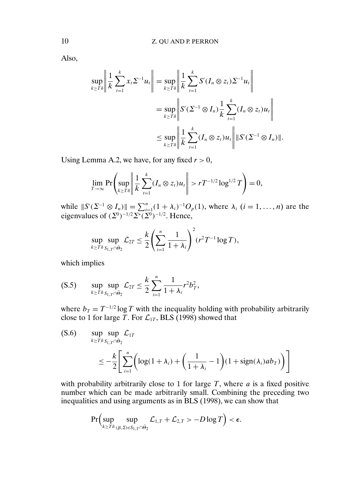Also,

$$
\sup_{k \ge T\delta} \left\| \frac{1}{k} \sum_{t=1}^{k} x_t \Sigma^{-1} u_t \right\| = \sup_{k \ge T\delta} \left\| \frac{1}{k} \sum_{t=1}^{k} S'(I_n \otimes z_t) \Sigma^{-1} u_t \right\|
$$
  
\n
$$
= \sup_{k \ge T\delta} \left\| S'(\Sigma^{-1} \otimes I_n) \frac{1}{k} \sum_{t=1}^{k} (I_n \otimes z_t) u_t \right\|
$$
  
\n
$$
\le \sup_{k \ge T\delta} \left\| \frac{1}{k} \sum_{t=1}^{k} (I_n \otimes z_t) u_t \right\| \|S'(\Sigma^{-1} \otimes I_n)\|.
$$

Using Lemma A.2, we have, for any fixed  $r > 0$ ,

$$
\lim_{T\to\infty}\Pr\left(\sup_{k\geq T\delta}\left\|\frac{1}{k}\sum_{t=1}^k(I_n\otimes z_t)u_t\right\|>rT^{-1/2}\log^{1/2}T\right)=0,
$$

while  $||S'(\Sigma^{-1} \otimes I_n)|| = \sum_{i=1}^n (1 + \lambda_i)^{-1} O_p(1)$ , where  $\lambda_i$   $(i = 1, ..., n)$  are the eigenvalues of  $(\Sigma^0)^{-1/2} \Sigma^* (\Sigma^0)^{-1/2}$ . Hence,

$$
\sup_{k \geq T\delta} \sup_{S_{1,T} \cap \bar{\Theta}_2} \mathcal{L}_{2T} \leq \frac{k}{2} \left( \sum_{i=1}^n \frac{1}{1+\lambda_i} \right)^2 (r^2 T^{-1} \log T),
$$

which implies

$$
(S.5) \qquad \sup_{k \geq T\delta} \sup_{S_{1,T} \cap \bar{\Theta}_2} \mathcal{L}_{2T} \leq \frac{k}{2} \sum_{i=1}^n \frac{1}{1 + \lambda_i} r^2 b_T^2,
$$

where  $b_T = T^{-1/2} \log T$  with the inequality holding with probability arbitrarily close to 1 for large T. For  $\mathcal{L}_{1T}$ , BLS (1998) showed that

$$
\begin{aligned} \text{(S.6)} \qquad & \sup_{k \ge T\delta} \sup_{S_{1,T} \cap \bar{\Theta}_2} \mathcal{L}_{1T} \\ &\le -\frac{k}{2} \Bigg[ \sum_{i=1}^n \bigg( \log(1 + \lambda_i) + \bigg( \frac{1}{1 + \lambda_i} - 1 \bigg) (1 + \text{sign}(\lambda_i) a b_T) \bigg) \Bigg] \end{aligned}
$$

with probability arbitrarily close to 1 for large  $T$ , where  $a$  is a fixed positive number which can be made arbitrarily small. Combining the preceding two inequalities and using arguments as in BLS (1998), we can show that

$$
\Pr\Bigl(\sup_{k\geq T\delta}\sup_{(\beta,\Sigma)\in S_{1,T}\cap\bar{\Theta}_2}\mathcal{L}_{1,T}+\mathcal{L}_{2,T}>-D\log T\Bigr)<\epsilon.
$$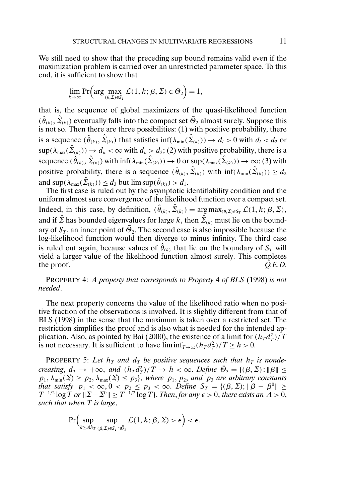We still need to show that the preceding sup bound remains valid even if the maximization problem is carried over an unrestricted parameter space. To this end, it is sufficient to show that

$$
\lim_{k \to \infty} \Pr\left(\arg\max_{(\theta,\Sigma)\in S_T} \mathcal{L}(1,k;\beta,\Sigma) \in \bar{\Theta}_2\right) = 1,
$$

that is, the sequence of global maximizers of the quasi-likelihood function  $(\hat{\theta}_{(k)}, \hat{\Sigma}_{(k)})$  eventually falls into the compact set  $\bar{\Theta}_2$  almost surely. Suppose this is not so. Then there are three possibilities: (1) with positive probability, there is a sequence  $(\hat{\theta}_{(k)}, \hat{\Sigma}_{(k)})$  that satisfies  $\inf(\lambda_{\min}(\hat{\Sigma}_{(k)})) \to d_l > 0$  with  $d_l < d_2$  or  $\sup(\lambda_{\max}(\hat{\Sigma}_{(k)})) \to d_u < \infty$  with  $d_u > d_3$ ; (2) with positive probability, there is a sequence  $(\hat{\theta}_{(k)}, \hat{\Sigma}_{(k)})$  with  $\inf(\lambda_{\min}(\hat{\Sigma}_{(k)})) \to 0$  or  $\sup(\lambda_{\max}(\hat{\Sigma}_{(k)})) \to \infty$ ; (3) with positive probability, there is a sequence  $(\hat{\theta}_{(k)}, \hat{\Sigma}_{(k)})$  with  $\inf(\lambda_{\min}(\hat{\Sigma}_{(k)})) \ge d_2$ and sup $(\lambda_{\max}(\hat{\Sigma}_{(k)})) \leq d_3$  but  $\limsup(\hat{\theta}_{(k)}) > d_1$ .

The first case is ruled out by the asymptotic identifiability condition and the uniform almost sure convergence of the likelihood function over a compact set. Indeed, in this case, by definition,  $(\hat{\theta}_{(k)}, \hat{\Sigma}_{(k)}) = \arg \max_{(\theta, \Sigma) \in S_T} \mathcal{L}(1, k; \beta, \Sigma),$ and if  $\hat{\mathbf{\Sigma}}$  has bounded eigenvalues for large k, then  $\hat{\mathbf{\Sigma}}_{(k)}$  must lie on the boundary of  $S_T$ , an inner point of  $\bar{\Theta}_2$ . The second case is also impossible because the log-likelihood function would then diverge to minus infinity. The third case is ruled out again, because values of  $\hat{\theta}_{(k)}$  that lie on the boundary of  $S_T$  will yield a larger value of the likelihood function almost surely. This completes the proof.  $Q.E.D.$ 

PROPERTY 4: *A property that corresponds to Property* 4 *of BLS* (1998) *is not needed*.

The next property concerns the value of the likelihood ratio when no positive fraction of the observations is involved. It is slightly different from that of BLS (1998) in the sense that the maximum is taken over a restricted set. The restriction simplifies the proof and is also what is needed for the intended application. Also, as pointed by Bai (2000), the existence of a limit for  $(h_T d_T^2)/T$ is not necessary. It is sufficient to have  $\liminf_{T\to\infty} (h_T d_T^2)/T \ge h > 0$ .

**PROPERTY** 5: Let  $h<sub>T</sub>$  and  $d<sub>T</sub>$  be positive sequences such that  $h<sub>T</sub>$  is nonde*creasing*,  $d_T \to +\infty$ , and  $(h_T d_T^2)/T \to h < \infty$ . *Define*  $\bar{\Theta}_3 = \{(\beta, \Sigma) : ||\beta|| \le$  $p_1, \lambda_{\min}(\Sigma) \ge p_2, \lambda_{\max}(\Sigma) \le p_3$ , where  $p_1, p_2$ , and  $p_3$  are arbitrary constants *that satisfy*  $p_1 < \infty, 0 < p_2 \le p_3 < \infty$ . *Define*  $S_T = \{(\beta, \Sigma) : ||\beta - \beta^0|| \ge$  $T^{-1/2} \log \overline{T}$  or  $\|\Sigma - \Sigma^0\| \geq T^{-1/2} \log T\}$ . *Then, for any*  $\epsilon > 0$ *, there exists an*  $A > 0$ *, such that when* T *is large*,

$$
\Pr\Big(\sup_{k\geq Ah_T} \sup_{(\beta,\Sigma)\in S_T\cap\bar{\Theta}_3} \mathcal{L}(1,k;\beta,\Sigma) > \epsilon\Big) < \epsilon.
$$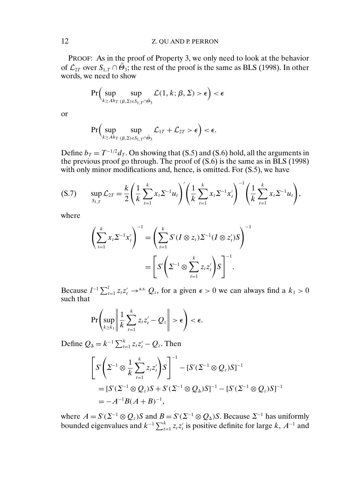PROOF: As in the proof of Property 3, we only need to look at the behavior of  $\mathcal{L}_{2T}$  over  $S_{1,T} \cap \bar{\Theta}_3$ ; the rest of the proof is the same as BLS (1998). In other words, we need to show

$$
\Pr\Bigl(\sup_{k\geq Ah_T} \sup_{(\beta,\Sigma)\in S_{1,T}\cap \bar{\Theta}_3} \mathcal{L}(1,k;\beta,\Sigma) > \epsilon\Bigr) < \epsilon
$$

or

$$
\Pr\Bigl(\sup_{k\geq A h_T} \sup_{(\beta,\Sigma)\in S_{1,T}\cap \bar{\Theta}_3} \mathcal{L}_{1T} + \mathcal{L}_{2T} > \epsilon\Bigr) < \epsilon.
$$

Define  $b_T = T^{-1/2} d_T$ . On showing that (S.5) and (S.6) hold, all the arguments in the previous proof go through. The proof of (S.6) is the same as in BLS (1998) with only minor modifications and, hence, is omitted. For (S.5), we have

$$
(S.7) \qquad \sup_{S_{1,T}} \mathcal{L}_{2T} = \frac{k}{2} \left( \frac{1}{k} \sum_{t=1}^{k} x_t \Sigma^{-1} u_t \right)' \left( \frac{1}{k} \sum_{t=1}^{k} x_t \Sigma^{-1} x_t' \right)^{-1} \left( \frac{1}{k} \sum_{t=1}^{k} x_t \Sigma^{-1} u_t \right),
$$

where

$$
\left(\sum_{t=1}^k x_t \Sigma^{-1} x_t'\right)^{-1} = \left(\sum_{t=1}^k S'(I \otimes z_t) \Sigma^{-1} (I \otimes z_t') S\right)^{-1}
$$

$$
= \left[S'\left(\Sigma^{-1} \otimes \sum_{t=1}^k z_t z_t'\right) S\right]^{-1}.
$$

Because  $l^{-1} \sum_{t=1}^{l} z_t z_t' \rightarrow$ <sup>a.s.</sup>  $Q_z$ , for a given  $\epsilon > 0$  we can always find a  $k_1 > 0$ such that

$$
\Pr\left(\sup_{k\geq k_1}\left\|\frac{1}{k}\sum_{t=1}^k z_tz_t'-Q_z\right\|>\epsilon\right)<\epsilon.
$$

Define  $Q_{\Delta} = k^{-1} \sum_{t=1}^{k} z_t z_t' - Q_z$ . Then

$$
\[ S'\bigg(\Sigma^{-1}\otimes\frac{1}{k}\sum_{t=1}^{k}z_{t}z_{t}'\bigg)S \]^{-1} - [S'(\Sigma^{-1}\otimes Q_{z})S]^{-1}
$$
  
= 
$$
[S'(\Sigma^{-1}\otimes Q_{z})S + S'(\Sigma^{-1}\otimes Q_{\Delta})S]^{-1} - [S'(\Sigma^{-1}\otimes Q_{z})S]^{-1}
$$
  
= 
$$
-A^{-1}B(A+B)^{-1},
$$

where  $A = S'(\Sigma^{-1} \otimes Q_z)S$  and  $B = S'(\Sigma^{-1} \otimes Q_\Delta)S$ . Because  $\Sigma^{-1}$  has uniformly bounded eigenvalues and  $k^{-1} \sum_{t=1}^{k} z_t z_t'$  is positive definite for large  $k$ ,  $A^{-1}$  and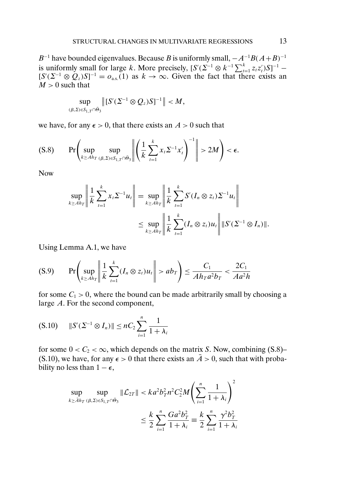B<sup>-1</sup> have bounded eigenvalues. Because B is uniformly small,  $-A^{-1}B(A+B)^{-1}$ is uniformly small for large k. More precisely,  $[S'( \Sigma^{-1} \otimes k^{-1} \sum_{t=1}^{k} z_t z_t') S]^{-1}$  –  $[S'(2^{-1} \otimes Q_z)S]^{-1} = o_{\text{a.s.}}(1)$  as  $k \to \infty$ . Given the fact that there exists an  $M > 0$  such that

$$
\sup_{(\beta,\Sigma)\in S_{1,T}\cap\bar{\Theta}_3}\left\|[S'(\Sigma^{-1}\otimes Q_z)S]^{-1}\right\|
$$

we have, for any  $\epsilon > 0$ , that there exists an  $A > 0$  such that

$$
(S.8) \qquad \Pr\left(\sup_{k\geq Ah_T} \sup_{(\beta,\Sigma)\in S_{1,T}\cap\bar{\Theta}_{3}}\left\|\left(\frac{1}{k}\sum_{t=1}^{k}x_{t}\Sigma^{-1}x_{t}'\right)^{-1}\right\|>2M\right)<\epsilon.
$$

Now

$$
\sup_{k \ge A h_T} \left\| \frac{1}{k} \sum_{t=1}^k x_t \Sigma^{-1} u_t \right\| = \sup_{k \ge A h_T} \left\| \frac{1}{k} \sum_{t=1}^k S'(I_n \otimes z_t) \Sigma^{-1} u_t \right\|
$$
  

$$
\le \sup_{k \ge A h_T} \left\| \frac{1}{k} \sum_{t=1}^k (I_n \otimes z_t) u_t \right\| \|S'(\Sigma^{-1} \otimes I_n)\|.
$$

Using Lemma A.1, we have

$$
(S.9) \qquad \Pr\left(\sup_{k\geq Ah_T} \left\|\frac{1}{k}\sum_{t=1}^k (I_n \otimes z_t)u_t\right\| > ab_T\right) \leq \frac{C_1}{Ah_T a^2 b_T} < \frac{2C_1}{A a^2 h}
$$

for some  $C_1 > 0$ , where the bound can be made arbitrarily small by choosing a large A. For the second component,

$$
(S.10) \qquad ||S'(\Sigma^{-1} \otimes I_n)|| \leq nC_2 \sum_{i=1}^n \frac{1}{1+\lambda_i}
$$

for some  $0 < C_2 < \infty$ , which depends on the matrix S. Now, combining (S.8)– (S.10), we have, for any  $\epsilon > 0$  that there exists an  $\overline{A} > 0$ , such that with probability no less than  $1 - \epsilon$ ,

$$
\sup_{k \ge \bar{A}h_T(\beta, \Sigma) \in S_{1,T} \cap \bar{\Theta}_3} ||\mathcal{L}_{2T}|| < ka^2 b_T^2 n^2 C_2^2 M \left( \sum_{i=1}^n \frac{1}{1 + \lambda_i} \right)^2
$$
  

$$
\le \frac{k}{2} \sum_{i=1}^n \frac{G a^2 b_T^2}{1 + \lambda_i} \equiv \frac{k}{2} \sum_{i=1}^n \frac{\gamma^2 b_T^2}{1 + \lambda_i}
$$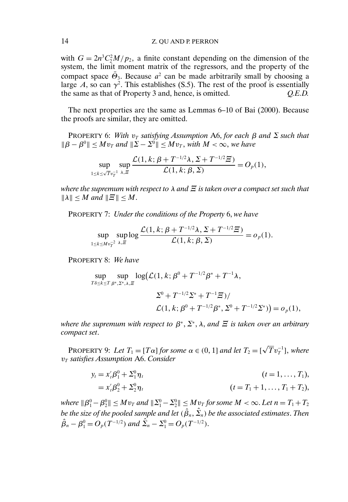with  $G = 2n^3C_2^2M/p_2$ , a finite constant depending on the dimension of the system, the limit moment matrix of the regressors, and the property of the compact space  $\overline{\Theta}_3$ . Because  $a^2$  can be made arbitrarily small by choosing a large A, so can  $\gamma^2$ . This establishes (S.5). The rest of the proof is essentially the same as that of Property 3 and, hence, is omitted. *Q.E.D.*

The next properties are the same as Lemmas 6–10 of Bai (2000). Because the proofs are similar, they are omitted.

PROPERTY 6: *With*  $v_T$  *satisfying Assumption* A6, *for each*  $\beta$  *and*  $\Sigma$  *such that*  $\|\beta - \beta^0\| \le Mv_T$  and  $\|\Sigma - \Sigma^0\| \le Mv_T$ , with  $M < \infty$ , we have

$$
\sup_{1\leq k\leq \sqrt{T}v_T^{-1}}\sup_{\lambda,\Xi}\frac{\mathcal{L}(1,k;\,\beta+T^{-1/2}\lambda,\,\Sigma+T^{-1/2}\Xi)}{\mathcal{L}(1,k;\,\beta,\,\Sigma)}=O_p(1),
$$

*where the supremum with respect to* λ *and* Ξ *is taken over a compact set such that*  $||\lambda|| \leq M$  and  $||\overline{\mathcal{Z}}|| \leq M$ .

PROPERTY 7: *Under the conditions of the Property* 6, *we have*

$$
\sup_{1 \le k \le Mv_T^{-2}} \sup_{\lambda, \Xi} \log \frac{\mathcal{L}(1, k; \beta + T^{-1/2}\lambda, \Sigma + T^{-1/2}\Xi)}{\mathcal{L}(1, k; \beta, \Sigma)} = o_p(1).
$$

PROPERTY 8: *We have*

$$
\sup_{T\delta \le k \le T} \sup_{\beta^*, \Sigma^*, \lambda, \Xi} \log(\mathcal{L}(1, k; \beta^0 + T^{-1/2}\beta^* + T^{-1}\lambda, \n\Sigma^0 + T^{-1/2}\Sigma^* + T^{-1}\Xi)/\n\mathcal{L}(1, k; \beta^0 + T^{-1/2}\beta^*, \Sigma^0 + T^{-1/2}\Sigma^*)) = o_p(1),
$$

*where the supremum with respect to*  $\beta^*, \Sigma^*, \lambda$ , *and*  $\Xi$  *is taken over an arbitrary compact set*.

PROPERTY 9: Let  $T_1 = [T\alpha]$  for some  $\alpha \in (0, 1]$  and let  $T_2 = [\sqrt{T}v_T^{-1}]$ , where  $v_T$  *satisfies Assumption A6. Consider* 

$$
y_t = x_t'\beta_1^0 + \Sigma_1^0 \eta_t
$$
  
=  $x_t'\beta_2^0 + \Sigma_2^0 \eta_t$   $(t = T_1 + 1, ..., T_1 + T_2),$ 

where  $\|\beta_1^0-\beta_2^0\|\le Mv_T$  and  $\|\Sigma_1^0-\Sigma_2^0\|\le Mv_T$  for some  $M<\infty.$  Let  $n=T_1+T_2$ be the size of the pooled sample and let  $(\hat{\beta}_n, \hat{\Sigma}_n)$  be the associated estimates. Then  $\hat{\beta}_n - \beta_1^0 = O_p(T^{-1/2})$  and  $\hat{\Sigma_n} - \Sigma_1^0 = O_p(T^{-1/2})$ .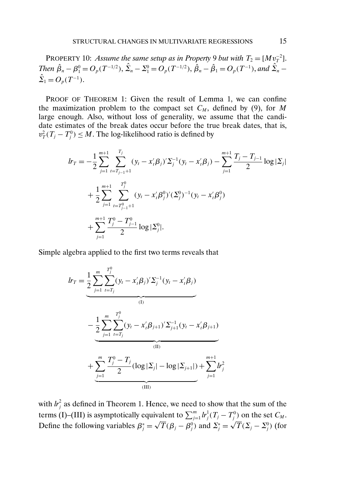PROPERTY 10: *Assume the same setup as in Property* 9 *but with*  $T_2 = [Mv_T^{-2}]$ . *Then*  $\hat{\beta}_n - \beta_1^0 = O_p(T^{-1/2}), \ \hat{\Sigma}_n - \Sigma_1^0 = O_p(T^{-1/2}), \ \hat{\beta}_n - \hat{\beta}_1 = O_p(T^{-1}),$  and  $\hat{\Sigma}_n \hat{\Sigma}_1 = O_p(T^{-1}).$ 

PROOF OF THEOREM 1: Given the result of Lemma 1, we can confine the maximization problem to the compact set  $C_M$ , defined by (9), for M large enough. Also, without loss of generality, we assume that the candidate estimates of the break dates occur before the true break dates, that is,  $v_T^2(T_j - T_j^0) \leq M$ . The log-likelihood ratio is defined by

$$
lr_{T} = -\frac{1}{2} \sum_{j=1}^{m+1} \sum_{t=T_{j-1}+1}^{T_{j}} (y_{t} - x_{t}'\beta_{j})' \Sigma_{j}^{-1} (y_{t} - x_{t}'\beta_{j}) - \sum_{j=1}^{m+1} \frac{T_{j} - T_{j-1}}{2} \log |\Sigma_{j}|
$$
  
+ 
$$
\frac{1}{2} \sum_{j=1}^{m+1} \sum_{t=T_{j-1}+1}^{T_{j}^{0}} (y_{t} - x_{t}'\beta_{j}^{0})' (\Sigma_{j}^{0})^{-1} (y_{t} - x_{t}'\beta_{j}^{0})
$$
  
+ 
$$
\sum_{j=1}^{m+1} \frac{T_{j}^{0} - T_{j-1}^{0}}{2} \log |\Sigma_{j}^{0}|.
$$

Simple algebra applied to the first two terms reveals that

$$
lr_{T} = \underbrace{\frac{1}{2} \sum_{j=1}^{m} \sum_{t=T_{j}}^{T_{j}^{0}} (y_{t} - x_{t}'\beta_{j})' \Sigma_{j}^{-1} (y_{t} - x_{t}'\beta_{j})}_{(I)}
$$
\n
$$
- \underbrace{\frac{1}{2} \sum_{j=1}^{m} \sum_{t=T_{j}}^{T_{j}^{0}} (y_{t} - x_{t}'\beta_{j+1})' \Sigma_{j+1}^{-1} (y_{t} - x_{t}'\beta_{j+1})}_{(II)}
$$
\n
$$
+ \underbrace{\sum_{j=1}^{m} \frac{T_{j}^{0} - T_{j}}{2} (\log |\Sigma_{j}| - \log |\Sigma_{j+1}|)}_{(III)}
$$
\n
$$
+ \underbrace{\sum_{j=1}^{m} \frac{T_{j}^{0} - T_{j}}{2} (\log |\Sigma_{j}| - \log |\Sigma_{j+1}|)}_{(III)}
$$

with  $h_j^2$  as defined in Theorem 1. Hence, we need to show that the sum of the terms (I)–(III) is asymptotically equivalent to  $\sum_{j=1}^{m} l r_j^1(T_j - T_j^0)$  on the set  $C_M$ . Define the following variables  $\beta_j^* = \sqrt{T}(\beta_j - \beta_j^0)$  and  $\Sigma_j^* = \sqrt{T}(\Sigma_j - \Sigma_j^0)$  (for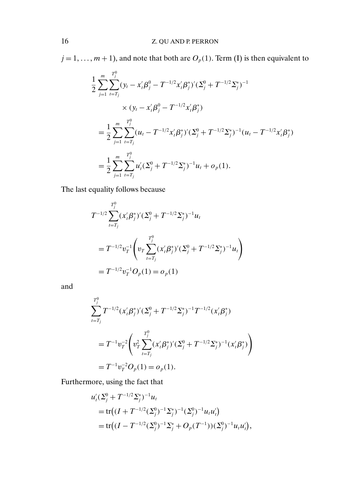$j = 1, \ldots, m + 1$ , and note that both are  $O_p(1)$ . Term (I) is then equivalent to

$$
\frac{1}{2} \sum_{j=1}^{m} \sum_{t=T_j}^{T_j^0} (\mathbf{y}_t - \mathbf{x}_t' \boldsymbol{\beta}_j^0 - T^{-1/2} \mathbf{x}_t' \boldsymbol{\beta}_j^*)' (\Sigma_j^0 + T^{-1/2} \Sigma_j^*)^{-1}
$$
\n
$$
\times (\mathbf{y}_t - \mathbf{x}_t' \boldsymbol{\beta}_j^0 - T^{-1/2} \mathbf{x}_t' \boldsymbol{\beta}_j^*)
$$
\n
$$
= \frac{1}{2} \sum_{j=1}^{m} \sum_{t=T_j}^{T_j^0} (u_t - T^{-1/2} \mathbf{x}_t' \boldsymbol{\beta}_j^*)' (\Sigma_j^0 + T^{-1/2} \Sigma_j^*)^{-1} (u_t - T^{-1/2} \mathbf{x}_t' \boldsymbol{\beta}_j^*)
$$
\n
$$
= \frac{1}{2} \sum_{j=1}^{m} \sum_{t=T_j}^{T_j^0} u_t' (\Sigma_j^0 + T^{-1/2} \Sigma_j^*)^{-1} u_t + o_p(1).
$$

The last equality follows because

$$
T^{-1/2} \sum_{t=T_j}^{T_j^0} (x_i' \beta_j^*)'( \Sigma_j^0 + T^{-1/2} \Sigma_j^*)^{-1} u_t
$$
  
= 
$$
T^{-1/2} v_T^{-1} \left( v_T \sum_{t=T_j}^{T_j^0} (x_i' \beta_j^*)'( \Sigma_j^0 + T^{-1/2} \Sigma_j^*)^{-1} u_t \right)
$$
  
= 
$$
T^{-1/2} v_T^{-1} O_p(1) = o_p(1)
$$

and

$$
\sum_{t=T_j}^{T_j^0} T^{-1/2} (x'_t \beta_j^*)'( \Sigma_j^0 + T^{-1/2} \Sigma_j^*)^{-1} T^{-1/2} (x'_t \beta_j^*)
$$
  
= 
$$
T^{-1} v_T^{-2} \left( v_T^2 \sum_{t=T_j}^{T_j^0} (x'_t \beta_j^*)'( \Sigma_j^0 + T^{-1/2} \Sigma_j^*)^{-1} (x'_t \beta_j^*) \right)
$$
  
= 
$$
T^{-1} v_T^{-2} O_p(1) = o_p(1).
$$

Furthermore, using the fact that

$$
u'_{t}(\Sigma_j^0 + T^{-1/2} \Sigma_j^*)^{-1} u_t
$$
  
= tr $((I + T^{-1/2} (\Sigma_j^0)^{-1} \Sigma_j^*)^{-1} (\Sigma_j^0)^{-1} u_t u'_t)$   
= tr $((I - T^{-1/2} (\Sigma_j^0)^{-1} \Sigma_j^* + O_p(T^{-1})) (\Sigma_j^0)^{-1} u_t u'_t),$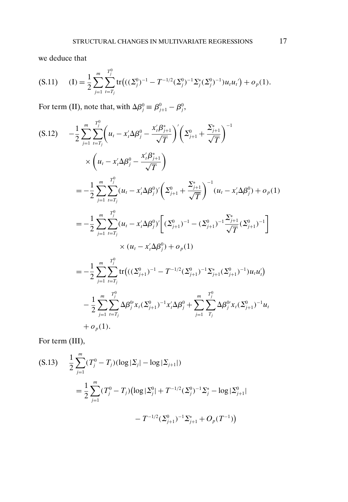we deduce that

$$
(S.11) \qquad (I) = \frac{1}{2} \sum_{j=1}^{m} \sum_{t=T_j}^{T_j^0} tr\big( ((\Sigma_j^0)^{-1} - T^{-1/2} (\Sigma_j^0)^{-1} \Sigma_j^* (\Sigma_j^0)^{-1}) u_t u_t' \big) + o_p(1).
$$

For term (II), note that, with  $\Delta \beta_j^0 \equiv \beta_{j+1}^0 - \beta_j^0$ ,

$$
(S.12) \t-\frac{1}{2} \sum_{j=1}^{m} \sum_{t=T_j}^{T_j^0} \left( u_t - x_i' \Delta \beta_j^0 - \frac{x_i' \beta_{j+1}^*}{\sqrt{T}} \right)' \left( \Sigma_{j+1}^0 + \frac{\Sigma_{j+1}^*}{\sqrt{T}} \right)^{-1} \times \left( u_t - x_i' \Delta \beta_j^0 - \frac{x_i' \beta_{j+1}^*}{\sqrt{T}} \right) \n= -\frac{1}{2} \sum_{j=1}^{m} \sum_{t=T_j}^{T_j^0} (u_t - x_i' \Delta \beta_j^0)' \left( \Sigma_{j+1}^0 + \frac{\Sigma_{j+1}^*}{\sqrt{T}} \right)^{-1} (u_t - x_i' \Delta \beta_j^0) + o_p(1) \n= -\frac{1}{2} \sum_{j=1}^{m} \sum_{t=T_j}^{T_j^0} (u_t - x_i' \Delta \beta_j^0)' \left[ (\Sigma_{j+1}^0)^{-1} - (\Sigma_{j+1}^0)^{-1} \frac{\Sigma_{j+1}^*}{\sqrt{T}} (\Sigma_{j+1}^0)^{-1} \right] \n\times (u_t - x_i' \Delta \beta_j^0) + o_p(1) \n= -\frac{1}{2} \sum_{j=1}^{m} \sum_{t=T_j}^{T_j^0} tr \left( ((\Sigma_{j+1}^0)^{-1} - T^{-1/2} (\Sigma_{j+1}^0)^{-1} \Sigma_{j+1}^* (\Sigma_{j+1}^0)^{-1}) u_t u_t' \right) \n- \frac{1}{2} \sum_{j=1}^{m} \sum_{t=T_j}^{T_j^0} \Delta \beta_j^0 x_t (\Sigma_{j+1}^0)^{-1} x_i' \Delta \beta_j^0 + \sum_{j=1}^{m} \sum_{T_j}^{T_j^0} \Delta \beta_j^0 x_t (\Sigma_{j+1}^0)^{-1} u_t \n+ o_p(1).
$$

For term (III),

$$
(S.13) \quad \frac{1}{2} \sum_{j=1}^{m} (T_j^0 - T_j)(\log |\Sigma_j| - \log |\Sigma_{j+1}|)
$$
\n
$$
= \frac{1}{2} \sum_{j=1}^{m} (T_j^0 - T_j)(\log |\Sigma_j^0| + T^{-1/2} (\Sigma_j^0)^{-1} \Sigma_j^* - \log |\Sigma_{j+1}^0|)
$$
\n
$$
- T^{-1/2} (\Sigma_{j+1}^0)^{-1} \Sigma_{j+1}^* + O_p(T^{-1}))
$$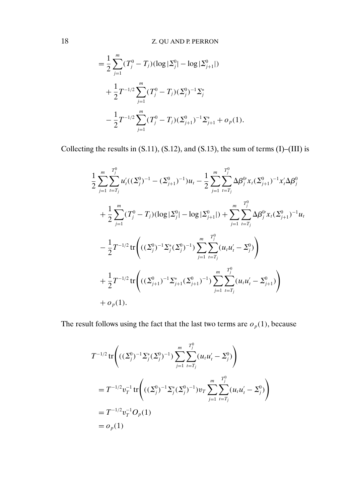$$
= \frac{1}{2} \sum_{j=1}^{m} (T_j^0 - T_j)(\log |\Sigma_j^0| - \log |\Sigma_{j+1}^0|)
$$
  
+ 
$$
\frac{1}{2} T^{-1/2} \sum_{j=1}^{m} (T_j^0 - T_j)(\Sigma_j^0)^{-1} \Sigma_j^*
$$
  
- 
$$
\frac{1}{2} T^{-1/2} \sum_{j=1}^{m} (T_j^0 - T_j)(\Sigma_{j+1}^0)^{-1} \Sigma_{j+1}^* + o_p(1).
$$

Collecting the results in (S.11), (S.12), and (S.13), the sum of terms (I)–(III) is

$$
\begin{split}\n&\frac{1}{2}\sum_{j=1}^{m}\sum_{t=T_j}^{T_j^0}u_i'((\Sigma_j^0)^{-1}-(\Sigma_{j+1}^0)^{-1})u_t-\frac{1}{2}\sum_{j=1}^{m}\sum_{t=T_j}^{T_j^0}\Delta\beta_j^0x_i(\Sigma_{j+1}^0)^{-1}x_i'\Delta\beta_j^0 \\
&+\frac{1}{2}\sum_{j=1}^{m}(T_j^0-T_j)(\log|\Sigma_j^0|-\log|\Sigma_{j+1}^0|)+\sum_{j=1}^{m}\sum_{t=T_j}^{T_j^0}\Delta\beta_j^0x_i(\Sigma_{j+1}^0)^{-1}u_t \\
&-\frac{1}{2}T^{-1/2}\text{tr}\Bigg(((\Sigma_j^0)^{-1}\Sigma_j^*(\Sigma_j^0)^{-1})\sum_{j=1}^{m}\sum_{t=T_j}^{T_j^0}(u_tu_t'-\Sigma_j^0)\Bigg) \\
&+\frac{1}{2}T^{-1/2}\text{tr}\Bigg(((\Sigma_{j+1}^0)^{-1}\Sigma_{j+1}^*(\Sigma_{j+1}^0)^{-1})\sum_{j=1}^{m}\sum_{t=T_j}^{T_j^0}(u_tu_t'-\Sigma_{j+1}^0)\Bigg) \\
&+o_p(1).\n\end{split}
$$

The result follows using the fact that the last two terms are  $o_p(1)$ , because

$$
T^{-1/2} \operatorname{tr} \left( ((\Sigma_j^0)^{-1} \Sigma_j^* (\Sigma_j^0)^{-1}) \sum_{j=1}^m \sum_{t=T_j}^{T_j^0} (u_t u_t' - \Sigma_j^0) \right)
$$
  
=  $T^{-1/2} v_T^{-1} \operatorname{tr} \left( ((\Sigma_j^0)^{-1} \Sigma_j^* (\Sigma_j^0)^{-1}) v_T \sum_{j=1}^m \sum_{t=T_j}^{T_j^0} (u_t u_t' - \Sigma_j^0) \right)$   
=  $T^{-1/2} v_T^{-1} O_p(1)$   
=  $o_p(1)$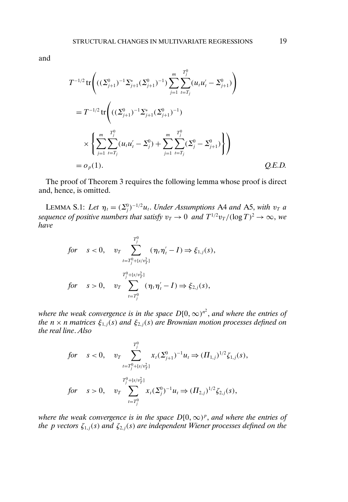$$
T^{-1/2} \operatorname{tr} \left( ((\Sigma_{j+1}^{0})^{-1} \Sigma_{j+1}^{*} (\Sigma_{j+1}^{0})^{-1}) \sum_{j=1}^{m} \sum_{t=T_j}^{T_j^{0}} (u_t u_t' - \Sigma_{j+1}^{0}) \right)
$$
  
=  $T^{-1/2} \operatorname{tr} \left( ((\Sigma_{j+1}^{0})^{-1} \Sigma_{j+1}^{*} (\Sigma_{j+1}^{0})^{-1}) \times \left\{ \sum_{j=1}^{m} \sum_{t=T_j}^{T_j^{0}} (u_t u_t' - \Sigma_j^{0}) + \sum_{j=1}^{m} \sum_{t=T_j}^{T_j^{0}} (\Sigma_j^{0} - \Sigma_{j+1}^{0}) \right\} \right)$   
=  $o_p(1).$  Q.E.D.

The proof of Theorem 3 requires the following lemma whose proof is direct and, hence, is omitted.

LEMMA S.1: Let  $\eta_t = (\Sigma_j^0)^{-1/2} u_t$ . Under Assumptions A4 and A5, with  $v_T$  a sequence of positive numbers that satisfy  $v_T \to 0$  and  $T^{1/2} v_T /(\log T)^2 \to \infty$ , we *have*

$$
\begin{aligned}\nfor \quad s < 0, \quad v_T > \sum_{t=T_j^0 + [s/v_T^2]}^{T_j^0} (\eta_t \eta_t' - I) \Rightarrow \xi_{1,j}(s), \\
for \quad s > 0, \quad v_T > \sum_{t=T_j^0}^{T_j^0 + [s/v_T^2]} (\eta_t \eta_t' - I) \Rightarrow \xi_{2,j}(s),\n\end{aligned}
$$

where the weak convergence is in the space  $D[0,\infty)^{n^2}$ , and where the entries of *the n* × *n matrices*  $\xi_{1,j}(s)$  *and*  $\xi_{2,j}(s)$  *are Brownian motion processes defined on the real line*. *Also*

$$
\begin{aligned}\nfor \quad s < 0, \quad v_T \sum_{t=T_j^0 + [s/v_T^2]}^{T_j^0} x_t (\Sigma_{j+1}^0)^{-1} u_t \Rightarrow ( \Pi_{1,j} )^{1/2} \zeta_{1,j}(s), \\
for \quad s > 0, \quad v_T \sum_{t=T_j^0}^{T_j^0 + [s/v_T^2]} x_t (\Sigma_j^0)^{-1} u_t \Rightarrow ( \Pi_{2,j} )^{1/2} \zeta_{2,j}(s),\n\end{aligned}
$$

*where the weak convergence is in the space*  $D[0,\infty)^p$ *, and where the entries of the p vectors*  $\zeta_{1,j}(s)$  *and*  $\zeta_{2,j}(s)$  *are independent Wiener processes defined on the*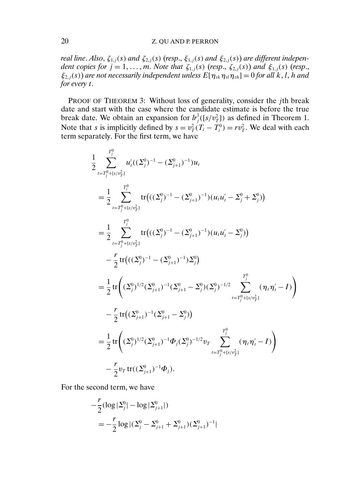#### 20 Z. QU AND P. PERRON

*real line. Also,*  $\zeta_{1,j}(s)$  *and*  $\zeta_{2,j}(s)$  (*resp.,*  $\xi_{1,j}(s)$  *and*  $\xi_{2,j}(s)$ ) *are different independent copies for*  $j = 1, ..., m$ *. Note that*  $\zeta_{1,j}(s)$  (*resp.*,  $\zeta_{2,j}(s)$ ) *and*  $\xi_{1,j}(s)$  (*resp.*,  $\xi_{2,i}(s)$  *are not necessarily independent unless*  $E[\eta_{ik}\eta_{il}\eta_{ik}] = 0$  *for all k, l, h and for every* t.

PROOF OF THEOREM 3: Without loss of generality, consider the jth break date and start with the case where the candidate estimate is before the true break date. We obtain an expansion for  $h_j^1([s/v_T^2])$  as defined in Theorem 1. Note that *s* is implicitly defined by  $s = v_T^2(T_i - T_i^0) = rv_T^2$ . We deal with each term separately. For the first term, we have

$$
\frac{1}{2} \sum_{t=T_j^0 + [s/v_{T}^2]}^{T_j^0} u'_t((\Sigma_j^0)^{-1} - (\Sigma_{j+1}^0)^{-1})u_t \n= \frac{1}{2} \sum_{t=T_j^0 + [s/v_{T}^2]}^{T_j^0} tr\left(((\Sigma_j^0)^{-1} - (\Sigma_{j+1}^0)^{-1})(u_tu'_t - \Sigma_j^0 + \Sigma_j^0)\right) \n= \frac{1}{2} \sum_{t=T_j^0 + [s/v_{T}^2]}^{T_j^0} tr\left(((\Sigma_j^0)^{-1} - (\Sigma_{j+1}^0)^{-1})(u_tu'_t - \Sigma_j^0)\right) \n- \frac{r}{2} tr\left(((\Sigma_j^0)^{-1} - (\Sigma_{j+1}^0)^{-1})\Sigma_j^0\right) \n= \frac{1}{2} tr\left((\Sigma_j^0)^{1/2}(\Sigma_{j+1}^0)^{-1}(\Sigma_{j+1}^0 - \Sigma_j^0)(\Sigma_j^0)^{-1/2} \sum_{t=T_j^0 + [s/v_{T}^2]}^{T_j^0} (\eta_t\eta'_t - I)\right) \n- \frac{r}{2} tr\left((\Sigma_{j+1}^0)^{-1}(\Sigma_{j+1}^0 - \Sigma_j^0)\right) \n= \frac{1}{2} tr\left((\Sigma_j^0)^{1/2}(\Sigma_{j+1}^0)^{-1}\Phi_j(\Sigma_j^0)^{-1/2}v_T \sum_{t=T_j^0 + [s/v_{T}^2]}^{T_j^0} (\eta_t\eta'_t - I)\right) \n- \frac{r}{2} v_T tr((\Sigma_{j+1}^0)^{-1}\Phi_j).
$$

For the second term, we have

$$
-\frac{r}{2}(\log |\Sigma_j^0| - \log |\Sigma_{j+1}^0|)
$$
  
=  $-\frac{r}{2} \log |(\Sigma_j^0 - \Sigma_{j+1}^0 + \Sigma_{j+1}^0)(\Sigma_{j+1}^0)^{-1}|$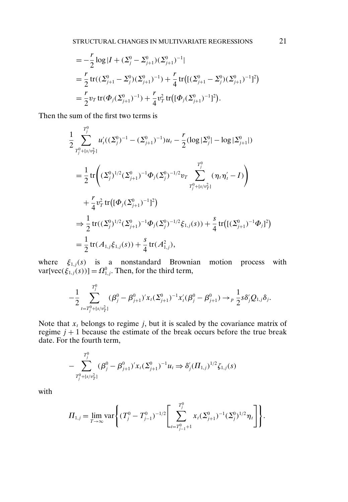$$
= -\frac{r}{2}\log|I + (\Sigma_j^0 - \Sigma_{j+1}^0)(\Sigma_{j+1}^0)^{-1}|
$$
  
=  $\frac{r}{2}\text{tr}((\Sigma_{j+1}^0 - \Sigma_j^0)(\Sigma_{j+1}^0)^{-1}) + \frac{r}{4}\text{tr}((\Sigma_{j+1}^0 - \Sigma_j^0)(\Sigma_{j+1}^0)^{-1})^2)$   
=  $\frac{r}{2}v_T\text{tr}(\Phi_j(\Sigma_{j+1}^0)^{-1}) + \frac{r}{4}v_T^2\text{tr}((\Phi_j(\Sigma_{j+1}^0)^{-1})^2).$ 

Then the sum of the first two terms is

$$
\frac{1}{2} \sum_{T_j^0 + [s/v_T^2]}^{T_j^0} u_i'((\Sigma_j^0)^{-1} - (\Sigma_{j+1}^0)^{-1})u_t - \frac{r}{2}(\log|\Sigma_j^0| - \log|\Sigma_{j+1}^0|)
$$
\n
$$
= \frac{1}{2} \text{tr}\left( (\Sigma_j^0)^{1/2} (\Sigma_{j+1}^0)^{-1} \Phi_j(\Sigma_j^0)^{-1/2} v_T \sum_{T_j^0 + [s/v_T^2]}^{T_j^0} (\eta_t \eta_t' - I) \right)
$$
\n
$$
+ \frac{r}{4} v_T^2 \text{tr}\left( [\Phi_j(\Sigma_{j+1}^0)^{-1}]^2 \right)
$$
\n
$$
\Rightarrow \frac{1}{2} \text{tr}((\Sigma_j^0)^{1/2} (\Sigma_{j+1}^0)^{-1} \Phi_j(\Sigma_j^0)^{-1/2} \xi_{1,j}(s)) + \frac{s}{4} \text{tr}\left( [(\Sigma_{j+1}^0)^{-1} \Phi_j]^2 \right)
$$
\n
$$
= \frac{1}{2} \text{tr}(A_{1,j} \xi_{1,j}(s)) + \frac{s}{4} \text{tr}(A_{1,j}^2),
$$

where  $\xi_{1,j}(s)$  is a nonstandard Brownian motion process with  $var[vec(\xi_{1,j}(s))] = \Omega_{1,j}^0$ . Then, for the third term,

$$
-\frac{1}{2}\sum_{t=T_j^0+\lceil s/v_T^2\rceil}^{T_j^0}(\beta_j^0-\beta_{j+1}^0)'x_t(\Sigma_{j+1}^0)^{-1}x_t'(\beta_j^0-\beta_{j+1}^0)\to_p\frac{1}{2}s\delta_j'Q_{1,j}\delta_j.
$$

Note that  $x_t$  belongs to regime j, but it is scaled by the covariance matrix of regime  $j + 1$  because the estimate of the break occurs before the true break date. For the fourth term,

$$
-\sum_{T_j^0+\{s/v_T^2\}}^{T_j^0}(\beta_j^0-\beta_{j+1}^0)'x_t(\Sigma_{j+1}^0)^{-1}u_t\Rightarrow \delta_j'(H_{1,j})^{1/2}\zeta_{1,j}(s)
$$

with

$$
\Pi_{1,j} = \lim_{T \to \infty} \text{var}\left\{ (T_j^0 - T_{j-1}^0)^{-1/2} \left[ \sum_{t=T_{j-1}^0 + 1}^{T_j^0} x_t (\Sigma_{j+1}^0)^{-1} (\Sigma_j^0)^{1/2} \eta_t \right] \right\}.
$$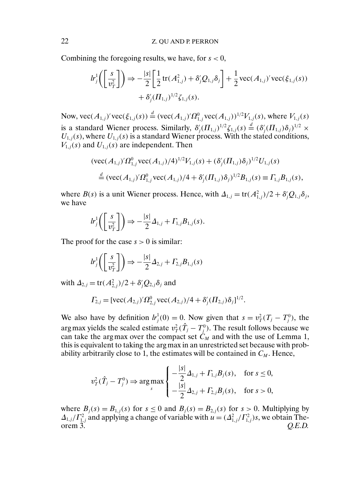Combining the foregoing results, we have, for  $s < 0$ ,

$$
lr_j^1 \left( \left[ \frac{s}{v_T^2} \right] \right) \Rightarrow -\frac{|s|}{2} \left[ \frac{1}{2} \text{tr}(A_{1,j}^2) + \delta_j' Q_{1,j} \delta_j \right] + \frac{1}{2} \text{vec}(A_{1,j})' \text{vec}(\xi_{1,j}(s)) + \delta_j' (H_{1,j})^{1/2} \xi_{1,j}(s).
$$

Now,  $\text{vec}(A_{1,j})' \text{vec}(\xi_{1,j}(s)) \stackrel{d}{=} (\text{vec}(A_{1,j})' \Omega_{1,j}^0 \text{vec}(A_{1,j}))^{1/2} V_{1,j}(s)$ , where  $V_{1,j}(s)$ is a standard Wiener process. Similarly,  $\delta_j'(H_{1,j})^{1/2} \zeta_{1,j}(s) \stackrel{d}{=} (\delta_j'(H_{1,j})\delta_j)^{1/2} \times$  $U_{1,j}(s)$ , where  $U_{1,j}(s)$  is a standard Wiener process. With the stated conditions,  $V_{1,j}(s)$  and  $U_{1,j}(s)$  are independent. Then

$$
(\text{vec}(A_{1,j})'\Omega_{1,j}^0 \text{vec}(A_{1,j})/4)^{1/2}V_{1,j}(s) + (\delta'_j(\Pi_{1,j})\delta_j)^{1/2}U_{1,j}(s)
$$
  

$$
\stackrel{d}{=} (\text{vec}(A_{1,j})'\Omega_{1,j}^0 \text{vec}(A_{1,j})/4 + \delta'_j(\Pi_{1,j})\delta_j)^{1/2}B_{1,j}(s) \equiv \Gamma_{1,j}B_{1,j}(s),
$$

where  $B(s)$  is a unit Wiener process. Hence, with  $\Delta_{1,j} = \text{tr}(A_{1,j}^2)/2 + \delta_j Q_{1,j} \delta_j$ , we have

$$
lr_j^1\bigg(\bigg[\frac{s}{v_T^2}\bigg]\bigg) \Rightarrow -\frac{|s|}{2}\Delta_{1,j} + \Gamma_{1,j}B_{1,j}(s).
$$

The proof for the case  $s > 0$  is similar:

$$
lr_j^1\bigg(\bigg[\frac{s}{v_T^2}\bigg]\bigg) \Rightarrow -\frac{|s|}{2}\Delta_{2,j} + \Gamma_{2,j}B_{1,j}(s)
$$

with  $\Delta_{2,j} = \text{tr}(A_{2,j}^2)/2 + \delta'_j Q_{2,j} \delta_j$  and

$$
\Gamma_{2,j} = [vec(A_{2,j})'\Omega_{2,j}^0, vec(A_{2,j})/4 + \delta'_j(\Pi_{2,j})\delta_j]^{1/2}.
$$

We also have by definition  $h_j^1(0) = 0$ . Now given that  $s = v_T^2(T_j - T_j^0)$ , the arg max yields the scaled estimate  $v_T^2(\hat{T}_j - T_j^0)$ . The result follows because we can take the argmax over the compact set  $C_M$  and with the use of Lemma 1, this is equivalent to taking the arg max in an unrestricted set because with probability arbitrarily close to 1, the estimates will be contained in  $C_M$ . Hence,

$$
v_T^2(\hat{T}_j - T_j^0) \Rightarrow \argmax_s \begin{cases} -\frac{|s|}{2} \Delta_{1,j} + \Gamma_{1,j} B_j(s), & \text{for } s \le 0, \\ -\frac{|s|}{2} \Delta_{2,j} + \Gamma_{2,j} B_j(s), & \text{for } s > 0, \end{cases}
$$

where  $B_i(s) = B_{1,i}(s)$  for  $s \le 0$  and  $B_i(s) = B_{2,i}(s)$  for  $s > 0$ . Multiplying by  $\Delta_{1,j}/\Gamma_{1,j}^2$  and applying a change of variable with  $u = (\Delta_{1,j}^2/\Gamma_{1,j}^2)s$ , we obtain Theorem 3.  $Q.E.D.$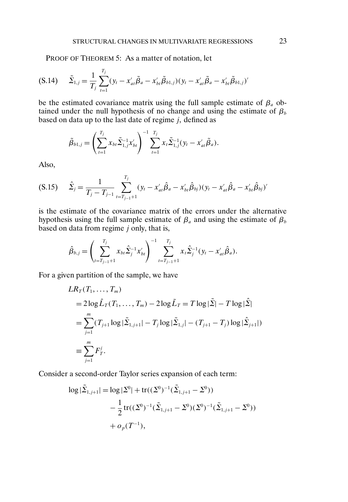PROOF OF THEOREM 5: As a matter of notation, let

$$
(S.14) \quad \tilde{\Sigma}_{1,j} = \frac{1}{T_j} \sum_{t=1}^{T_j} (y_t - x'_{at} \tilde{\beta}_a - x'_{bt} \tilde{\beta}_{b1,j}) (y_t - x'_{at} \tilde{\beta}_a - x'_{bt} \tilde{\beta}_{b1,j})'
$$

be the estimated covariance matrix using the full sample estimate of  $\beta_a$  obtained under the null hypothesis of no change and using the estimate of  $\beta_b$ based on data up to the last date of regime  $j$ , defined as

$$
\tilde{\beta}_{b1,j} = \left(\sum_{t=1}^{T_j} x_{bt} \tilde{\Sigma}_{1,j}^{-1} x_{bt}'\right)^{-1} \sum_{t=1}^{T_j} x_t \tilde{\Sigma}_{1,j}^{-1} (y_t - x_{at}' \tilde{\beta}_a).
$$

Also,

$$
(S.15) \qquad \hat{\Sigma}_j = \frac{1}{T_j - T_{j-1}} \sum_{t=T_{j-1}+1}^{T_j} (y_t - x'_{at} \hat{\beta}_a - x'_{bt} \hat{\beta}_{bj}) (y_t - x'_{at} \hat{\beta}_a - x'_{bt} \hat{\beta}_{bj})'
$$

is the estimate of the covariance matrix of the errors under the alternative hypothesis using the full sample estimate of  $\beta_a$  and using the estimate of  $\beta_b$ based on data from regime  $j$  only, that is,

$$
\hat{\beta}_{b,j} = \left(\sum_{t=T_{j-1}+1}^{T_j} x_{bt} \hat{\Sigma}_j^{-1} x_{bt}'\right)^{-1} \sum_{t=T_{j-1}+1}^{T_j} x_t \hat{\Sigma}_j^{-1} (y_t - x_{at}' \hat{\beta}_a).
$$

For a given partition of the sample, we have

$$
LR_T(T_1, ..., T_m)
$$
  
=  $2\log \hat{L}_T(T_1, ..., T_m) - 2\log \tilde{L}_T = T \log |\tilde{\Sigma}| - T \log |\hat{\Sigma}|$   
=  $\sum_{j=1}^m (T_{j+1} \log |\tilde{\Sigma}_{1,j+1}| - T_j \log |\tilde{\Sigma}_{1,j}| - (T_{j+1} - T_j) \log |\hat{\Sigma}_{j+1}|)$   
 $\equiv \sum_{j=1}^m F_T^j.$ 

Consider a second-order Taylor series expansion of each term:

$$
\log |\tilde{\Sigma}_{1,j+1}| = \log |\Sigma^0| + \text{tr}((\Sigma^0)^{-1}(\tilde{\Sigma}_{1,j+1} - \Sigma^0))
$$
  
 
$$
- \frac{1}{2} \text{tr}((\Sigma^0)^{-1}(\tilde{\Sigma}_{1,j+1} - \Sigma^0)(\Sigma^0)^{-1}(\tilde{\Sigma}_{1,j+1} - \Sigma^0))
$$
  
 
$$
+ o_p(T^{-1}),
$$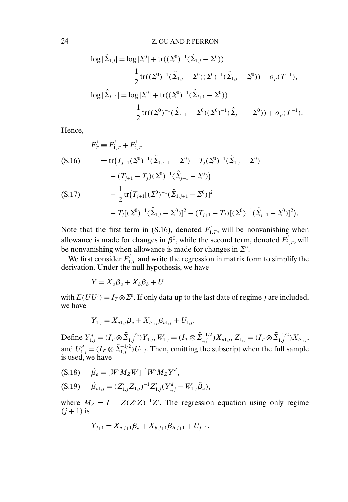$$
\log |\tilde{\Sigma}_{1,j}| = \log |\Sigma^0| + \text{tr}((\Sigma^0)^{-1}(\tilde{\Sigma}_{1,j} - \Sigma^0))
$$
  
\n
$$
- \frac{1}{2} \text{tr}((\Sigma^0)^{-1}(\tilde{\Sigma}_{1,j} - \Sigma^0)(\Sigma^0)^{-1}(\tilde{\Sigma}_{1,j} - \Sigma^0)) + o_p(T^{-1}),
$$
  
\n
$$
\log |\tilde{\Sigma}_{j+1}| = \log |\Sigma^0| + \text{tr}((\Sigma^0)^{-1}(\hat{\Sigma}_{j+1} - \Sigma^0))
$$
  
\n
$$
- \frac{1}{2} \text{tr}((\Sigma^0)^{-1}(\hat{\Sigma}_{j+1} - \Sigma^0)(\Sigma^0)^{-1}(\hat{\Sigma}_{j+1} - \Sigma^0)) + o_p(T^{-1}).
$$

Hence,

$$
F_T^j \equiv F_{1,T}^j + F_{2,T}^j
$$
\n
$$
(S.16) \qquad = \text{tr}(T_{j+1}(\Sigma^0)^{-1}(\tilde{\Sigma}_{1,j+1} - \Sigma^0) - T_j(\Sigma^0)^{-1}(\tilde{\Sigma}_{1,j} - \Sigma^0) \\
- (T_{j+1} - T_j)(\Sigma^0)^{-1}(\hat{\Sigma}_{j+1} - \Sigma^0))
$$
\n
$$
(S.17) \qquad -\frac{1}{2} \text{tr}(T_{j+1}[(\Sigma^0)^{-1}(\tilde{\Sigma}_{1,j+1} - \Sigma^0)]^2 \\
- T_j[(\Sigma^0)^{-1}(\tilde{\Sigma}_{1,j} - \Sigma^0)]^2 - (T_{j+1} - T_j)[(\Sigma^0)^{-1}(\hat{\Sigma}_{j+1} - \Sigma^0)]^2).
$$

Note that the first term in (S.16), denoted  $F_{1,T}^j$ , will be nonvanishing when allowance is made for changes in  $\beta^0$ , while the second term, denoted  $F^j_{2,T}$ , will be nonvanishing when allowance is made for changes in  $\Sigma^0$ .

We first consider  $F_{1,T}^j$  and write the regression in matrix form to simplify the derivation. Under the null hypothesis, we have

 $Y = X_a \mathcal{B}_a + X_b \mathcal{B}_b + U$ 

with  $E(UU') = I_T \otimes \Sigma^0$ . If only data up to the last date of regime j are included, we have

$$
Y_{1,j} = X_{a1,j}\beta_a + X_{b1,j}\beta_{b1,j} + U_{1,j}.
$$

Define  $Y_{1,j}^d = (I_T \otimes \tilde{\Sigma}_{1,j}^{-1/2}) Y_{1,j}, W_{1,j} = (I_T \otimes \tilde{\Sigma}_{1,j}^{-1/2}) X_{a1,j}, Z_{1,j} = (I_T \otimes \tilde{\Sigma}_{1,j}^{-1/2}) X_{b1,j},$ and  $U_{1,j}^d = (I_T \otimes \tilde{\Sigma}_{1,j}^{-1/2}) U_{1,j}$ . Then, omitting the subscript when the full sample is used, we have

- (S.18)  $\tilde{\beta}_a = [W'M_ZW]^{-1}W'M_ZY^d$ ,
- (S.19)  $\tilde{\beta}_{b1,j} = (Z'_{1,j}Z_{1,j})^{-1}Z'_{1,j}(Y^d_{1,j} W_{1,j}\tilde{\beta}_a),$

where  $M_Z = I - Z(Z'Z)^{-1}Z'$ . The regression equation using only regime  $(i+1)$  is

$$
Y_{j+1} = X_{a,j+1}\beta_a + X_{b,j+1}\beta_{b,j+1} + U_{j+1}.
$$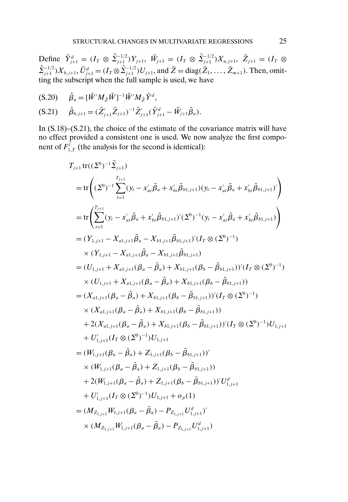Define  $\bar{Y}_{j+1}^d = (I_T \otimes \hat{\Sigma}_{j+1}^{-1/2})Y_{j+1}, \ \bar{W}_{j+1} = (I_T \otimes \hat{\Sigma}_{j+1}^{-1/2})X_{a,j+1}, \ \bar{Z}_{j+1} = (I_T \otimes \hat{\Sigma}_{j+1}^{-1/2})Y_{a,j+1}$  $\hat{\Sigma}_{j+1}^{-1/2}$ ) $X_{b,j+1}$ ,  $\bar{U}_{j+1}^d = (I_T \otimes \hat{\Sigma}_{j+1}^{-1/2}) U_{j+1}$ , and  $\bar{Z} = \text{diag}(\bar{Z}_1, \dots, \bar{Z}_{m+1})$ . Then, omitting the subscript when the full sample is used, we have

$$
(S.20) \qquad \hat{\beta}_a = [\bar{W}' M_{\bar{Z}} \bar{W}]^{-1} \bar{W}' M_{\bar{Z}} \bar{Y}^d,
$$

$$
(S.21) \quad \hat{\beta}_{b,j+1} = (\bar{Z}_{j+1}'\bar{Z}_{j+1})^{-1}\bar{Z}_{j+1}'(\bar{Y}_{j+1}^d - \bar{W}_{j+1}\hat{\beta}_a).
$$

In (S.18)–(S.21), the choice of the estimate of the covariance matrix will have no effect provided a consistent one is used. We now analyze the first component of  $F_{1,T}^j$  (the analysis for the second is identical):

$$
T_{j+1} \text{tr}((\Sigma^{0})^{-1} \Sigma_{j+1})
$$
\n
$$
= \text{tr}\left((\Sigma^{0})^{-1} \sum_{i=1}^{T_{j+1}} (y_{i} - x'_{ai}\tilde{\beta}_{a} + x'_{bt}\tilde{\beta}_{b1,j+1})(y_{i} - x'_{ai}\tilde{\beta}_{a} + x'_{bt}\tilde{\beta}_{b1,j+1})'\right)
$$
\n
$$
= \text{tr}\left(\sum_{i=1}^{T_{j+1}} (y_{i} - x'_{ai}\tilde{\beta}_{a} + x'_{bt}\tilde{\beta}_{b1,j+1})'(\Sigma^{0})^{-1}(y_{i} - x'_{ai}\tilde{\beta}_{a} + x'_{bt}\tilde{\beta}_{b1,j+1})\right)
$$
\n
$$
= (Y_{1,j+1} - X_{a1,j+1}\tilde{\beta}_{a} - X_{b1,j+1}\tilde{\beta}_{b1,j+1})'(I_{T} \otimes (\Sigma^{0})^{-1})
$$
\n
$$
\times (Y_{1,j+1} - X_{a1,j+1}\tilde{\beta}_{a} - X_{b1,j+1}\tilde{\beta}_{b1,j+1})
$$
\n
$$
= (U_{1,j+1} + X_{a1,j+1}(\beta_{a} - \tilde{\beta}_{a}) + X_{b1,j+1}(\beta_{b} - \tilde{\beta}_{b1,j+1}))'(I_{T} \otimes (\Sigma^{0})^{-1})
$$
\n
$$
\times (U_{1,j+1} + X_{a1,j+1}(\beta_{a} - \tilde{\beta}_{a}) + X_{b1,j+1}(\beta_{b} - \tilde{\beta}_{b1,j+1}))
$$
\n
$$
= (X_{a1,j+1}(\beta_{a} - \tilde{\beta}_{a}) + X_{b1,j+1}(\beta_{b} - \tilde{\beta}_{b1,j+1}))'(I_{T} \otimes (\Sigma^{0})^{-1})
$$
\n
$$
\times (X_{a1,j+1}(\beta_{a} - \tilde{\beta}_{a}) + X_{b1,j+1}(\beta_{b} - \tilde{\beta}_{b1,j+1}))'(I_{T} \otimes (\Sigma^{0})^{-1})
$$
\n
$$
+ 2(X_{a1,j+1}(\beta_{a} - \tilde{\beta}_{a}) + X_{b1,j+1}(\beta_{b} - \tilde{\beta}_{b1,j+1}))'(I_{T} \otimes (\Sigma^{0})^{-
$$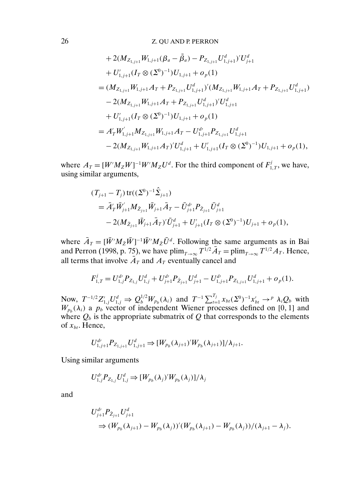+ 2(
$$
M_{Z_{1,j+1}}W_{1,j+1}(\beta_a - \tilde{\beta}_a) - P_{Z_{1,j+1}}U_{1,j+1}^d)'U_{j+1}^d
$$
  
+  $U'_{1,j+1}(I_T \otimes (\Sigma^0)^{-1})U_{1,j+1} + o_p(1)$   
=  $(M_{Z_{1,j+1}}W_{1,j+1}A_T + P_{Z_{1,j+1}}U_{1,j+1}^d)'(M_{Z_{1,j+1}}W_{1,j+1}A_T + P_{Z_{1,j+1}}U_{1,j+1}^d)$   
- 2( $M_{Z_{1,j+1}}W_{1,j+1}A_T + P_{Z_{1,j+1}}U_{1,j+1}^d)'U_{1,j+1}^d$   
+  $U'_{1,j+1}(I_T \otimes (\Sigma^0)^{-1})U_{1,j+1} + o_p(1)$   
=  $A'_T W'_{1,j+1}M_{Z_{1,j+1}}W_{1,j+1}A_T - U_{1,j+1}^{d'}P_{Z_{1,j+1}}U_{1,j+1}^d$   
- 2( $M_{Z_{1,j+1}}W_{1,j+1}A_T)'U_{1,j+1}^d + U'_{1,j+1}(I_T \otimes (\Sigma^0)^{-1})U_{1,j+1} + o_p(1)$ ,

where  $A_T = [W'M_ZW]^{-1}W'M_ZU^d$ . For the third component of  $F^j_{1,T}$ , we have, using similar arguments,

$$
(T_{j+1} - T_j) tr((\Sigma^0)^{-1} \hat{\Sigma}_{j+1})
$$
  
=  $\bar{A}'_T \bar{W}'_{j+1} M_{\bar{Z}_{j+1}} \bar{W}_{j+1} \bar{A}_T - \bar{U}^{d'}_{j+1} P_{\bar{Z}_{j+1}} \bar{U}^{d}_{j+1}$   
-  $2(M_{\bar{Z}_{j+1}} \bar{W}_{j+1} \bar{A}_T)' \bar{U}^{d}_{j+1} + U'_{j+1} (I_T \otimes (\Sigma^0)^{-1}) U_{j+1} + o_p(1),$ 

where  $\bar{A}_T = [\bar{W}' M_{\bar{Z}} \bar{W}]^{-1} \bar{W}' M_{\bar{Z}} \bar{U}^d$ . Following the same arguments as in Bai and Perron (1998, p. 75), we have  $\lim_{T\to\infty} T^{1/2} \bar{A}_T = \lim_{T\to\infty} T^{1/2} A_T$ . Hence, all terms that involve  $\bar{A}_T$  and  $A_T$  eventually cancel and

$$
F_{1,T}^j = U_{1,j}^{d'} P_{Z_{1,j}} U_{1,j}^d + U_{j+1}^{d'} P_{\bar{Z}_{j+1}} U_{j+1}^d - U_{1,j+1}^{d'} P_{Z_{1,j+1}} U_{1,j+1}^d + o_p(1).
$$

Now,  $T^{-1/2}Z_{1,j}'U_{1,j}^d \Rightarrow Q_b^{1/2}W_{p_b}(\lambda_i)$  and  $T^{-1}\sum_{t=1}^{T_j}x_{bt}(\Sigma^0)^{-1}x_{bt}' \rightarrow^p \lambda_i Q_b$  with  $W_{p_b}(\lambda_i)$  a  $p_b$  vector of independent Wiener processes defined on [0, 1] and where  $Q_b$  is the appropriate submatrix of  $Q$  that corresponds to the elements of  $x_{bt}$ . Hence,

$$
U_{1,j+1}^{d'} P_{Z_{1,j+1}} U_{1,j+1}^d \Rightarrow [W_{p_b}(\lambda_{j+1})' W_{p_b}(\lambda_{j+1})]/\lambda_{j+1}.
$$

Using similar arguments

$$
U_{1,j}^{d\prime}P_{Z_{1,j}}U_{1,j}^{d} \Rightarrow [W_{p_b}(\lambda_j)'W_{p_b}(\lambda_j)]/\lambda_j
$$

and

$$
U_{j+1}^{d'} P_{\bar{Z}_{j+1}} U_{j+1}^d
$$
  
\n
$$
\Rightarrow (W_{p_b}(\lambda_{j+1}) - W_{p_b}(\lambda_j))'(W_{p_b}(\lambda_{j+1}) - W_{p_b}(\lambda_j)) / (\lambda_{j+1} - \lambda_j).
$$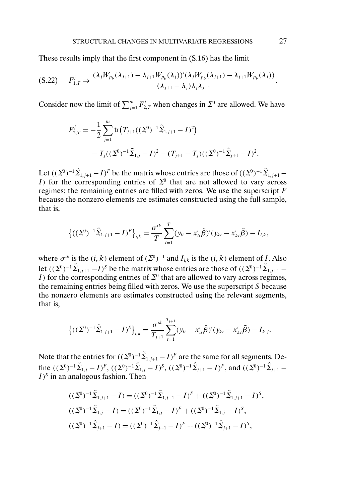These results imply that the first component in (S.16) has the limit

$$
(S.22) \tF'_{1,T} \Rightarrow \frac{(\lambda_j W_{p_b}(\lambda_{j+1}) - \lambda_{j+1} W_{p_b}(\lambda_j))'(\lambda_j W_{p_b}(\lambda_{j+1}) - \lambda_{j+1} W_{p_b}(\lambda_j))}{(\lambda_{j+1} - \lambda_j)\lambda_j \lambda_{j+1}}.
$$

Consider now the limit of  $\sum_{j=1}^{m} F_{2,T}^{j}$  when changes in  $\Sigma^{0}$  are allowed. We have

$$
F_{2,T}^j = -\frac{1}{2} \sum_{j=1}^m \text{tr}\big(T_{j+1}((\Sigma^0)^{-1}\tilde{\Sigma}_{1,j+1} - I)^2\big) -T_j((\Sigma^0)^{-1}\tilde{\Sigma}_{1,j} - I)^2 - (T_{j+1} - T_j)((\Sigma^0)^{-1}\hat{\Sigma}_{j+1} - I)^2.
$$

Let  $((\Sigma^0)^{-1}\tilde{\Sigma}_{1,j+1} - I)^F$  be the matrix whose entries are those of  $((\Sigma^0)^{-1}\tilde{\Sigma}_{1,j+1} - I)^F$ I) for the corresponding entries of  $\Sigma^0$  that are not allowed to vary across regimes; the remaining entries are filled with zeros. We use the superscript  $F$ because the nonzero elements are estimates constructed using the full sample, that is,

$$
\left\{((\Sigma^0)^{-1}\tilde{\Sigma}_{1,j+1}-I)^F\right\}_{i,k}=\frac{\sigma^{ik}}{T}\sum_{t=1}^T(y_{it}-x_{it}'\tilde{\beta})'(y_{kt}-x_{kt}'\tilde{\beta})-I_{i,k},
$$

where  $\sigma^{ik}$  is the  $(i, k)$  element of  $(\Sigma^0)^{-1}$  and  $I_{i,k}$  is the  $(i, k)$  element of I. Also let  $((\Sigma^0)^{-1}\tilde{\Sigma}_{1,j+1} - I)^s$  be the matrix whose entries are those of  $((\Sigma^0)^{-1}\tilde{\Sigma}_{1,j+1} - I)^s$ I) for the corresponding entries of  $\Sigma^0$  that are allowed to vary across regimes, the remaining entries being filled with zeros. We use the superscript S because the nonzero elements are estimates constructed using the relevant segments, that is,

$$
\left\{((\Sigma^0)^{-1}\tilde{\Sigma}_{1,j+1}-I)^S\right\}_{i,k}=\frac{\sigma^{ik}}{T_{j+1}}\sum_{t=1}^{T_{j+1}}(y_{it}-x_{it}'\tilde{\beta})'(y_{kt}-x_{kt}'\tilde{\beta})-I_{k,j}.
$$

Note that the entries for  $((\Sigma^0)^{-1}\tilde{\Sigma}_{1,j+1} - I)^F$  are the same for all segments. Define  $((\Sigma^0)^{-1}\tilde{\Sigma}_{1,j}-I)^F$ ,  $((\Sigma^0)^{-1}\tilde{\Sigma}_{1,j}-I)^S$ ,  $((\Sigma^0)^{-1}\hat{\Sigma}_{j+1}-I)^F$ , and  $((\Sigma^0)^{-1}\hat{\Sigma}_{j+1}-I)^F$  $I$ <sup>S</sup> in an analogous fashion. Then

$$
((\Sigma^0)^{-1}\tilde{\Sigma}_{1,j+1} - I) = ((\Sigma^0)^{-1}\tilde{\Sigma}_{1,j+1} - I)^F + ((\Sigma^0)^{-1}\tilde{\Sigma}_{1,j+1} - I)^S,
$$
  

$$
((\Sigma^0)^{-1}\tilde{\Sigma}_{1,j} - I) = ((\Sigma^0)^{-1}\tilde{\Sigma}_{1,j} - I)^F + ((\Sigma^0)^{-1}\tilde{\Sigma}_{1,j} - I)^S,
$$
  

$$
((\Sigma^0)^{-1}\hat{\Sigma}_{j+1} - I) = ((\Sigma^0)^{-1}\hat{\Sigma}_{j+1} - I)^F + ((\Sigma^0)^{-1}\hat{\Sigma}_{j+1} - I)^S,
$$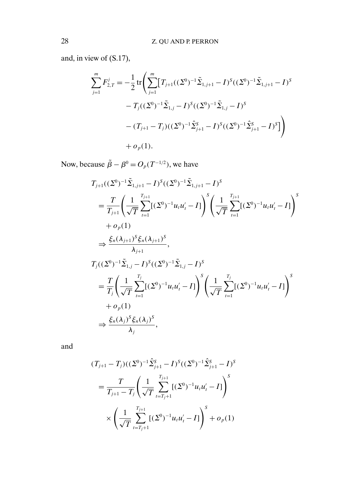and, in view of (S.17),

$$
\sum_{j=1}^{m} F_{2,T}^{j} = -\frac{1}{2} \operatorname{tr} \left( \sum_{j=1}^{m} \left[ T_{j+1}((\Sigma^{0})^{-1} \tilde{\Sigma}_{1,j+1} - I)^{S}((\Sigma^{0})^{-1} \tilde{\Sigma}_{1,j+1} - I)^{S} \right] - T_{j}((\Sigma^{0})^{-1} \tilde{\Sigma}_{1,j} - I)^{S}((\Sigma^{0})^{-1} \tilde{\Sigma}_{1,j} - I)^{S} - (T_{j+1} - T_{j})((\Sigma^{0})^{-1} \hat{\Sigma}_{j+1}^{S} - I)^{S}((\Sigma^{0})^{-1} \hat{\Sigma}_{j+1}^{S} - I)^{S} \right) + o_{p}(1).
$$

Now, because  $\tilde{\beta} - \beta^0 = O_p(T^{-1/2})$ , we have

$$
T_{j+1}((\Sigma^{0})^{-1}\tilde{\Sigma}_{1,j+1} - I)^{S}((\Sigma^{0})^{-1}\tilde{\Sigma}_{1,j+1} - I)^{S}
$$
\n
$$
= \frac{T}{T_{j+1}} \left( \frac{1}{\sqrt{T}} \sum_{t=1}^{T_{j+1}} [(\Sigma^{0})^{-1} u_{t} u_{t}' - I] \right)^{S} \left( \frac{1}{\sqrt{T}} \sum_{t=1}^{T_{j+1}} [(\Sigma^{0})^{-1} u_{t} u_{t}' - I] \right)^{S}
$$
\n
$$
+ o_{p}(1)
$$
\n
$$
\Rightarrow \frac{\xi_{n}(\lambda_{j+1})^{S} \xi_{n}(\lambda_{j+1})^{S}}{\lambda_{j+1}},
$$
\n
$$
T_{j}((\Sigma^{0})^{-1}\tilde{\Sigma}_{1,j} - I)^{S}((\Sigma^{0})^{-1}\tilde{\Sigma}_{1,j} - I)^{S}
$$
\n
$$
= \frac{T}{T_{j}} \left( \frac{1}{\sqrt{T}} \sum_{t=1}^{T_{j}} [(\Sigma^{0})^{-1} u_{t} u_{t}' - I] \right)^{S} \left( \frac{1}{\sqrt{T}} \sum_{t=1}^{T_{j}} [(\Sigma^{0})^{-1} u_{t} u_{t}' - I] \right)^{S}
$$
\n
$$
+ o_{p}(1)
$$
\n
$$
\Rightarrow \frac{\xi_{n}(\lambda_{j})^{S} \xi_{n}(\lambda_{j})^{S}}{\lambda_{j}},
$$

and

$$
(T_{j+1} - T_j)((\Sigma^0)^{-1}\hat{\Sigma}_{j+1}^S - I)^S((\Sigma^0)^{-1}\hat{\Sigma}_{j+1}^S - I)^S
$$
  
= 
$$
\frac{T}{T_{j+1} - T_j} \left( \frac{1}{\sqrt{T}} \sum_{t=T_j+1}^{T_{j+1}} [(\Sigma^0)^{-1} u_t u_t' - I] \right)^S
$$
  

$$
\times \left( \frac{1}{\sqrt{T}} \sum_{t=T_j+1}^{T_{j+1}} [(\Sigma^0)^{-1} u_t u_t' - I] \right)^S + o_p(1)
$$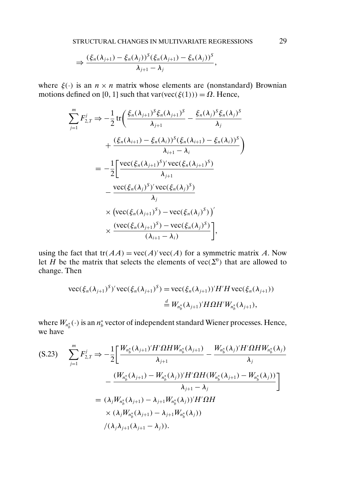$$
\Rightarrow \frac{(\xi_n(\lambda_{j+1}) - \xi_n(\lambda_j))^S(\xi_n(\lambda_{j+1}) - \xi_n(\lambda_j))^S}{\lambda_{j+1} - \lambda_j},
$$

where  $\xi(\cdot)$  is an  $n \times n$  matrix whose elements are (nonstandard) Brownian motions defined on [0, 1] such that var(vec( $\xi(1)$ )) =  $\Omega$ . Hence,

$$
\sum_{j=1}^{m} F_{2,T}^{j} \Rightarrow -\frac{1}{2} \operatorname{tr} \left( \frac{\xi_{n}(\lambda_{j+1})^{S} \xi_{n}(\lambda_{j+1})^{S}}{\lambda_{j+1}} - \frac{\xi_{n}(\lambda_{j})^{S} \xi_{n}(\lambda_{j})^{S}}{\lambda_{j}} + \frac{(\xi_{n}(\lambda_{i+1}) - \xi_{n}(\lambda_{i}))^{S} (\xi_{n}(\lambda_{i+1}) - \xi_{n}(\lambda_{i}))^{S}}{\lambda_{i+1} - \lambda_{i}} \right)
$$
  
= 
$$
-\frac{1}{2} \left[ \frac{\operatorname{vec}(\xi_{n}(\lambda_{j+1})^{S})' \operatorname{vec}(\xi_{n}(\lambda_{j+1})^{S})}{\lambda_{j+1}} - \frac{\operatorname{vec}(\xi_{n}(\lambda_{j})^{S})' \operatorname{vec}(\xi_{n}(\lambda_{j})^{S})}{\lambda_{j}} \times \left( \operatorname{vec}(\xi_{n}(\lambda_{j+1})^{S}) - \operatorname{vec}(\xi_{n}(\lambda_{j})^{S}) \right)' \times \frac{(\operatorname{vec}(\xi_{n}(\lambda_{j+1})^{S}) - \operatorname{vec}(\xi_{n}(\lambda_{j})^{S})}{(\lambda_{i+1} - \lambda_{i})} \right],
$$

using the fact that  $tr(AA) = vec(A)'vec(A)$  for a symmetric matrix A. Now let H be the matrix that selects the elements of  $\text{vec}(\Sigma^0)$  that are allowed to change. Then

$$
\begin{aligned} \text{vec}(\xi_n(\lambda_{j+1})^S)' \text{vec}(\xi_n(\lambda_{j+1})^S) &= \text{vec}(\xi_n(\lambda_{j+1}))' H' H \text{vec}(\xi_n(\lambda_{j+1})) \\ &= W_{n_b^*}(\lambda_{j+1})' H \Omega H' W_{n_b^*}(\lambda_{j+1}), \end{aligned}
$$

where  $W_{n_b^*}(\cdot)$  is an  $n_b^*$  vector of independent standard Wiener processes. Hence, we have

$$
\begin{split} \text{(S.23)} \qquad & \sum_{j=1}^{m} F_{2,T}^{j} \Rightarrow -\frac{1}{2} \bigg[ \frac{W_{n_{b}^{*}}(\lambda_{j+1})'H'\Omega H W_{n_{b}^{*}}(\lambda_{j+1})}{\lambda_{j+1}} - \frac{W_{n_{b}^{*}}(\lambda_{j})'H'\Omega H W_{n_{b}^{*}}(\lambda_{j})}{\lambda_{j}} \\ &- \frac{(W_{n_{b}^{*}}(\lambda_{j+1}) - W_{n_{b}^{*}}(\lambda_{j}))'H'\Omega H (W_{n_{b}^{*}}(\lambda_{j+1}) - W_{n_{b}^{*}}(\lambda_{j}))}{\lambda_{j+1} - \lambda_{j}} \bigg] \\ &= (\lambda_{j}W_{n_{b}^{*}}(\lambda_{j+1}) - \lambda_{j+1}W_{n_{b}^{*}}(\lambda_{j}))'H'\Omega H \\ &\times (\lambda_{j}W_{n_{b}^{*}}(\lambda_{j+1}) - \lambda_{j+1}W_{n_{b}^{*}}(\lambda_{j})) \\ &\quad / (\lambda_{j}\lambda_{j+1}(\lambda_{j+1} - \lambda_{j})). \end{split}
$$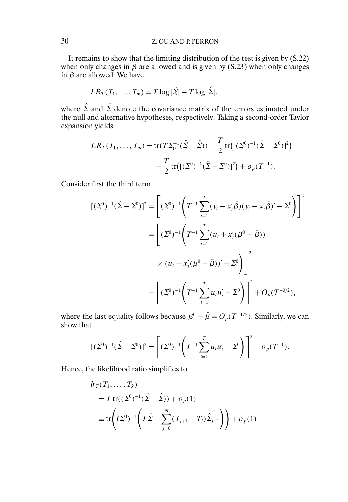It remains to show that the limiting distribution of the test is given by (S.22) when only changes in  $\beta$  are allowed and is given by (S.23) when only changes in  $\beta$  are allowed. We have

$$
LR_T(T_1,\ldots,T_m)=T\log|\tilde{\Sigma}|-T\log|\hat{\Sigma}|,
$$

where  $\hat{\Sigma}$  and  $\tilde{\Sigma}$  denote the covariance matrix of the errors estimated under the null and alternative hypotheses, respectively. Taking a second-order Taylor expansion yields

$$
LR_T(T_1, ..., T_m) = \text{tr}(T\Sigma_0^{-1}(\tilde{\Sigma} - \hat{\Sigma})) + \frac{T}{2} \text{tr}[(\Sigma^0)^{-1}(\hat{\Sigma} - \Sigma^0)]^2)
$$

$$
-\frac{T}{2} \text{tr}[(\Sigma^0)^{-1}(\tilde{\Sigma} - \Sigma^0)]^2) + o_p(T^{-1}).
$$

Consider first the third term

$$
[(\Sigma^0)^{-1}(\tilde{\Sigma} - \Sigma^0)]^2 = \left[ (\Sigma^0)^{-1} \left( T^{-1} \sum_{t=1}^T (y_t - x_t' \tilde{\beta})(y_t - x_t' \tilde{\beta})' - \Sigma^0 \right) \right]^2
$$
  

$$
= \left[ (\Sigma^0)^{-1} \left( T^{-1} \sum_{t=1}^T (u_t + x_t' (\beta^0 - \tilde{\beta}))' \right.
$$
  

$$
\times (u_t + x_t' (\beta^0 - \tilde{\beta}))' - \Sigma^0 \right) \Big]^2
$$
  

$$
= \left[ (\Sigma^0)^{-1} \left( T^{-1} \sum_{t=1}^T u_t u_t' - \Sigma^0 \right) \right]^2 + O_p(T^{-3/2}),
$$

where the last equality follows because  $\beta^0 - \tilde{\beta} = O_p(T^{-1/2})$ . Similarly, we can show that

$$
[(\Sigma^0)^{-1}(\hat{\Sigma} - \Sigma^0)]^2 = \left[ (\Sigma^0)^{-1} \left( T^{-1} \sum_{t=1}^T u_t u_t' - \Sigma^0 \right) \right]^2 + o_p(T^{-1}).
$$

Hence, the likelihood ratio simplifies to

$$
lr_T(T_1, ..., T_k)
$$
  
=  $T \text{tr}((\Sigma^0)^{-1}(\tilde{\Sigma} - \hat{\Sigma})) + o_p(1)$   

$$
\equiv \text{tr}\left((\Sigma^0)^{-1} \left(T\tilde{\Sigma} - \sum_{j=0}^m (T_{j+1} - T_j)\hat{\Sigma}_{j+1}\right)\right) + o_p(1)
$$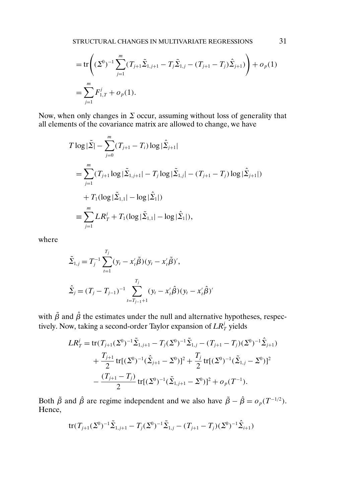$$
= \operatorname{tr}\left( (\Sigma^0)^{-1} \sum_{j=1}^m (T_{j+1} \tilde{\Sigma}_{1,j+1} - T_j \tilde{\Sigma}_{1,j} - (T_{j+1} - T_j) \hat{\Sigma}_{j+1}) \right) + o_p(1)
$$
  
= 
$$
\sum_{j=1}^m F_{1,T}^j + o_p(1).
$$

Now, when only changes in  $\Sigma$  occur, assuming without loss of generality that all elements of the covariance matrix are allowed to change, we have

$$
T \log |\tilde{\Sigma}| - \sum_{j=0}^{m} (T_{j+1} - T_i) \log |\tilde{\Sigma}_{j+1}|
$$
  
= 
$$
\sum_{j=1}^{m} (T_{j+1} \log |\tilde{\Sigma}_{1,j+1}| - T_j \log |\tilde{\Sigma}_{1,j}| - (T_{j+1} - T_j) \log |\tilde{\Sigma}_{j+1}|)
$$
  
+ 
$$
T_1 (\log |\tilde{\Sigma}_{1,1}| - \log |\tilde{\Sigma}_1|)
$$
  
= 
$$
\sum_{j=1}^{m} LR_T^j + T_1 (\log |\tilde{\Sigma}_{1,1}| - \log |\tilde{\Sigma}_1|),
$$

where

$$
\tilde{\Sigma}_{1,j} = T_j^{-1} \sum_{t=1}^{T_j} (y_t - x_t' \tilde{\beta})(y_t - x_t' \tilde{\beta})',
$$
  

$$
\hat{\Sigma}_j = (T_j - T_{j-1})^{-1} \sum_{t=T_{j-1}+1}^{T_j} (y_t - x_t' \hat{\beta})(y_t - x_t' \hat{\beta})'
$$

with  $\tilde{\beta}$  and  $\hat{\beta}$  the estimates under the null and alternative hypotheses, respectively. Now, taking a second-order Taylor expansion of  $LR_{\scriptscriptstyle T}^j$  yields

$$
LR_T^j = \text{tr}(T_{j+1}(\Sigma^0)^{-1}\tilde{\Sigma}_{1,j+1} - T_j(\Sigma^0)^{-1}\tilde{\Sigma}_{1,j} - (T_{j+1} - T_j)(\Sigma^0)^{-1}\hat{\Sigma}_{j+1})
$$
  
+ 
$$
\frac{T_{j+1}}{2} \text{tr}[(\Sigma^0)^{-1}(\hat{\Sigma}_{j+1} - \Sigma^0)]^2 + \frac{T_j}{2} \text{tr}[(\Sigma^0)^{-1}(\tilde{\Sigma}_{1,j} - \Sigma^0)]^2
$$
  
- 
$$
\frac{(T_{j+1} - T_j)}{2} \text{tr}[(\Sigma^0)^{-1}(\tilde{\Sigma}_{1,j+1} - \Sigma^0)]^2 + o_p(T^{-1}).
$$

Both  $\tilde{\beta}$  and  $\hat{\beta}$  are regime independent and we also have  $\tilde{\beta} - \hat{\beta} = o_p(T^{-1/2})$ . Hence,

$$
\text{tr}(T_{j+1}(\Sigma^0)^{-1}\tilde{\Sigma}_{1,j+1} - T_j(\Sigma^0)^{-1}\tilde{\Sigma}_{1,j} - (T_{j+1} - T_j)(\Sigma^0)^{-1}\hat{\Sigma}_{i+1})
$$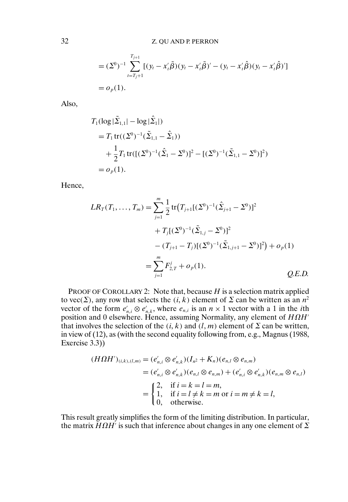$$
= (\Sigma^0)^{-1} \sum_{t=T_j+1}^{T_{j+1}} [(y_t - x_t'\tilde{\beta})(y_t - x_t'\tilde{\beta})' - (y_t - x_t'\hat{\beta})(y_t - x_t'\hat{\beta})'] = o_p(1).
$$

Also,

$$
T_1(\log|\tilde{\Sigma}_{1,1}| - \log|\hat{\Sigma}_1|)
$$
  
=  $T_1 \text{tr}((\Sigma^0)^{-1}(\tilde{\Sigma}_{1,1} - \hat{\Sigma}_1))$   
+  $\frac{1}{2}T_1 \text{tr}([\Sigma^0)^{-1}(\hat{\Sigma}_1 - \Sigma^0)]^2 - [(\Sigma^0)^{-1}(\tilde{\Sigma}_{1,1} - \Sigma^0)]^2)$   
=  $o_p(1)$ .

Hence,

$$
LR_T(T_1, ..., T_m) = \sum_{j=1}^m \frac{1}{2} tr(T_{j+1}[(\Sigma^0)^{-1}(\hat{\Sigma}_{j+1} - \Sigma^0)]^2
$$
  
+  $T_j[(\Sigma^0)^{-1}(\tilde{\Sigma}_{1,j} - \Sigma^0)]^2$   
-  $(T_{j+1} - T_j)[(\Sigma^0)^{-1}(\tilde{\Sigma}_{1,j+1} - \Sigma^0)]^2) + o_p(1)$   
=  $\sum_{j=1}^m F_{2,T}^j + o_p(1).$  Q.E.D.

PROOF OF COROLLARY 2: Note that, because  $H$  is a selection matrix applied to vec( $\Sigma$ ), any row that selects the (i, k) element of  $\Sigma$  can be written as an  $n^2$ vector of the form  $e'_{n,i} \otimes e'_{n,k}$ , where  $e_{n,i}$  is an  $n \times 1$  vector with a 1 in the *i*th position and 0 elsewhere. Hence, assuming Normality, any element of  $H\Omega H'$ that involves the selection of the  $(i, k)$  and  $(l, m)$  element of  $\Sigma$  can be written, in view of (12), as (with the second equality following from, e.g., Magnus (1988, Exercise 3.3))

$$
(H\Omega H')_{(i,k),(l,m)} = (e'_{n,i} \otimes e'_{n,k})(I_{n^2} + K_n)(e_{n,l} \otimes e_{n,m})
$$
  
=  $(e'_{n,i} \otimes e'_{n,k})(e_{n,l} \otimes e_{n,m}) + (e'_{n,i} \otimes e'_{n,k})(e_{n,m} \otimes e_{n,l})$   
= 
$$
\begin{cases} 2, & \text{if } i = k = l = m, \\ 1, & \text{if } i = l \neq k = m \text{ or } i = m \neq k = l, \\ 0, & \text{otherwise.} \end{cases}
$$

This result greatly simplifies the form of the limiting distribution. In particular, the matrix  $H\Omega H'$  is such that inference about changes in any one element of  $\Sigma$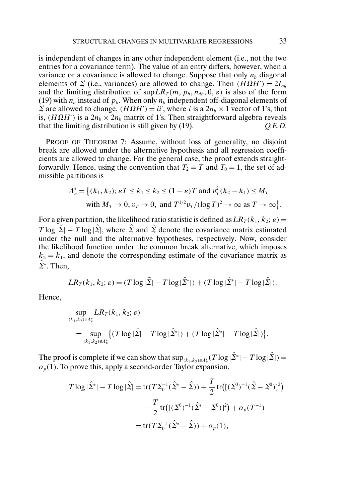is independent of changes in any other independent element (i.e., not the two entries for a covariance term). The value of an entry differs, however, when a variance or a covariance is allowed to change. Suppose that only  $n_b$  diagonal elements of  $\Sigma$  (i.e., variances) are allowed to change. Then  $(H\Omega H') = 2I_{n_b}$ and the limiting distribution of  $\sup LR_T(m, p_b, n_{db}, 0, \varepsilon)$  is also of the form (19) with  $n_b$  instead of  $p_b$ . When only  $n_b$  independent off-diagonal elements of Σ are allowed to change,  $(H\Omega H') = i i'$ , where *i* is a  $2n_b \times 1$  vector of 1's, that is,  $(H\Omega H')$  is a  $2n_b \times 2n_b$  matrix of 1's. Then straightforward algebra reveals that the limiting distribution is still given by (19). *Q.E.D.*

PROOF OF THEOREM 7: Assume, without loss of generality, no disjoint break are allowed under the alternative hypothesis and all regression coefficients are allowed to change. For the general case, the proof extends straightforwardly. Hence, using the convention that  $T_2 = T$  and  $T_0 = 1$ , the set of admissible partitions is

$$
\Lambda_{\varepsilon}^* = \left\{ (k_1, k_2); \varepsilon T \le k_1 \le k_2 \le (1 - \varepsilon)T \text{ and } v_T^2(k_2 - k_1) \le M_T \right\}
$$
  
with  $M_T \to 0$ ,  $v_T \to 0$ , and  $T^{1/2}v_T/(\log T)^2 \to \infty$  as  $T \to \infty \right\}$ .

For a given partition, the likelihood ratio statistic is defined as  $LR_T(k_1, k_2; \varepsilon) =$  $T \log |\tilde{\Sigma}| - T \log |\tilde{\Sigma}|$ , where  $\tilde{\Sigma}$  and  $\tilde{\Sigma}$  denote the covariance matrix estimated under the null and the alternative hypotheses, respectively. Now, consider the likelihood function under the common break alternative, which imposes  $k_2 = k_1$ , and denote the corresponding estimate of the covariance matrix as  $\hat{\Sigma}^*$ . Then,

$$
LR_T(k_1, k_2; \varepsilon) = (T \log |\tilde{\Sigma}| - T \log |\hat{\Sigma}^*|) + (T \log |\hat{\Sigma}^*| - T \log |\hat{\Sigma}|).
$$

Hence,

$$
\sup_{(k_1,k_2)\in\Lambda_{\varepsilon}^*} LR_T(k_1,k_2;\varepsilon) \n= \sup_{(k_1,k_2)\in\Lambda_{\varepsilon}^*} \left\{ (T \log |\tilde{\Sigma}| - T \log |\hat{\Sigma}^*|) + (T \log |\hat{\Sigma}^*| - T \log |\hat{\Sigma}|) \right\}.
$$

The proof is complete if we can show that  $\sup_{(k_1,k_2)\in A^*_e}(T \log |\hat{\Sigma}^*| - T \log |\hat{\Sigma}|) =$  $o_p(1)$ . To prove this, apply a second-order Taylor expansion,

$$
T \log |\hat{\Sigma}^*| - T \log |\hat{\Sigma}| = \text{tr}(T\Sigma_0^{-1}(\hat{\Sigma}^* - \hat{\Sigma})) + \frac{T}{2} \text{tr}\big( [(\Sigma^0)^{-1}(\hat{\Sigma} - \Sigma^0)]^2 \big) - \frac{T}{2} \text{tr}\big( [(\Sigma^0)^{-1}(\hat{\Sigma}^* - \Sigma^0)]^2 \big) + o_p(T^{-1}) = \text{tr}(T\Sigma_0^{-1}(\hat{\Sigma}^* - \hat{\Sigma})) + o_p(1),
$$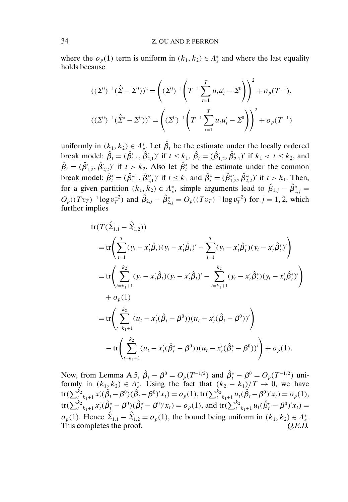where the  $o_p(1)$  term is uniform in  $(k_1, k_2) \in \Lambda_{\varepsilon}^*$  and where the last equality holds because

$$
((\Sigma^0)^{-1}(\hat{\Sigma} - \Sigma^0))^2 = \left((\Sigma^0)^{-1}\left(T^{-1}\sum_{t=1}^T u_t u_t' - \Sigma^0\right)\right)^2 + o_p(T^{-1}),
$$
  

$$
((\Sigma^0)^{-1}(\hat{\Sigma}^* - \Sigma^0))^2 = \left((\Sigma^0)^{-1}\left(T^{-1}\sum_{t=1}^T u_t u_t' - \Sigma^0\right)\right)^2 + o_p(T^{-1})
$$

uniformly in  $(k_1, k_2) \in \Lambda_{\varepsilon}^*$ . Let  $\hat{\beta}_t$  be the estimate under the locally ordered break model:  $\hat{\beta}_t = (\hat{\beta}'_{1,1}, \hat{\beta}'_{2,1})'$  if  $t \le k_1$ ,  $\hat{\beta}_t = (\hat{\beta}'_{1,2}, \hat{\beta}'_{2,1})'$  if  $k_1 < t \le k_2$ , and  $\hat{\beta}_t = (\hat{\beta}'_{1,2}, \hat{\beta}'_{2,2})'$  if  $t > k_2$ . Also let  $\hat{\beta}_t^*$  be the estimate under the common break model:  $\hat{\beta}_t^* = (\hat{\beta}_{1,1}^{*}, \hat{\beta}_{2,1}^{*})'$  if  $t \le k_1$  and  $\hat{\beta}_t^* = (\hat{\beta}_{1,2}^{*}, \hat{\beta}_{2,2}^{*})'$  if  $t > k_1$ . Then, for a given partition  $(k_1, k_2) \in \Lambda_{\varepsilon}^*$ , simple arguments lead to  $\hat{\beta}_{1,j} - \hat{\beta}_{1,j}^* =$  $O_p((Tv_T)^{-1} \log v_T^{-2})$  and  $\hat{\beta}_{2,j} - \hat{\beta}_{2,j}^* = O_p((Tv_T)^{-1} \log v_T^{-2})$  for  $j = 1, 2$ , which further implies

$$
tr(T(\hat{\Sigma}_{1,1} - \hat{\Sigma}_{1,2}))
$$
  
\n
$$
= tr\left(\sum_{t=1}^{T} (y_t - x'_t \hat{\beta}_t)(y_t - x'_t \hat{\beta}_t)' - \sum_{t=1}^{T} (y_t - x'_t \hat{\beta}_t^*)(y_t - x'_t \hat{\beta}_t^*)'\right)
$$
  
\n
$$
= tr\left(\sum_{t=k_1+1}^{k_2} (y_t - x'_t \hat{\beta}_t)(y_t - x'_t \hat{\beta}_t)' - \sum_{t=k_1+1}^{k_2} (y_t - x'_t \hat{\beta}_t^*)(y_t - x'_t \hat{\beta}_t^*)'\right)
$$
  
\n
$$
+ o_p(1)
$$
  
\n
$$
= tr\left(\sum_{t=k_1+1}^{k_2} (u_t - x'_t (\hat{\beta}_t - \beta^0))(u_t - x'_t (\hat{\beta}_t - \beta^0))'\right)
$$
  
\n
$$
- tr\left(\sum_{t=k_1+1}^{k_2} (u_t - x'_t (\hat{\beta}_t^* - \beta^0))(u_t - x'_t (\hat{\beta}_t^* - \beta^0))'\right) + o_p(1).
$$

Now, from Lemma A.5,  $\hat{\beta}_t - \beta^0 = O_p(T^{-1/2})$  and  $\hat{\beta}_t^* - \beta^0 = O_p(T^{-1/2})$  uniformly in  $(k_1, k_2) \in \Lambda_{\varepsilon}^*$ . Using the fact that  $(k_2 - k_1)/T \to 0$ , we have  $\mathrm{tr}(\sum_{t=k_1+1}^{k_2}x'_t(\hat{\beta}_t-\beta^0)(\hat{\beta}_t-\beta^0)'x_t)=o_p(1), \ \mathrm{tr}(\sum_{t=k_1+1}^{k_2}u_t(\hat{\beta}_t-\beta^0)'x_t)=o_p(1),$ tr( $\sum_{t=k_1+1}^{k_2} x'_t (\hat{\beta}_t^* - \beta^0)(\hat{\beta}_t^* - \beta^0)' x_t$ ) =  $o_p(1)$ , and tr( $\sum_{t=k_1+1}^{k_2} u_t (\hat{\beta}_t^* - \beta^0)' x_t$ ) =  $o_p(1)$ . Hence  $\hat{\Sigma}_{1,1} - \hat{\Sigma}_{1,2} = o_p(1)$ , the bound being uniform in  $(k_1, k_2) \in \Lambda_{\varepsilon}^*$ . This completes the proof.  $Q.E.D.$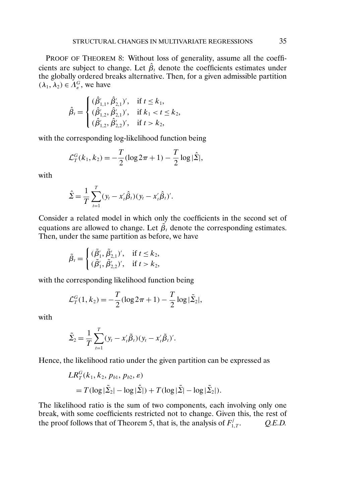PROOF OF THEOREM 8: Without loss of generality, assume all the coefficients are subject to change. Let  $\hat{\beta}_t$  denote the coefficients estimates under the globally ordered breaks alternative. Then, for a given admissible partition  $(\lambda_1, \lambda_2) \in \Lambda_{\varepsilon}^G$ , we have

$$
\hat{\beta}_t = \begin{cases}\n(\hat{\beta}'_{1,1}, \hat{\beta}'_{2,1})', & \text{if } t \leq k_1, \\
(\hat{\beta}'_{1,2}, \hat{\beta}'_{2,1})', & \text{if } k_1 < t \leq k_2, \\
(\hat{\beta}'_{1,2}, \hat{\beta}'_{2,2})', & \text{if } t > k_2,\n\end{cases}
$$

with the corresponding log-likelihood function being

$$
\mathcal{L}_T^G(k_1, k_2) = -\frac{T}{2} (\log 2\pi + 1) - \frac{T}{2} \log |\hat{\Sigma}|,
$$

with

$$
\hat{\Sigma} = \frac{1}{T} \sum_{t=1}^{T} (y_t - x_t' \hat{\beta}_t) (y_t - x_t' \hat{\beta}_t)'.
$$

Consider a related model in which only the coefficients in the second set of equations are allowed to change. Let  $\tilde{\beta}_t$  denote the corresponding estimates. Then, under the same partition as before, we have

$$
\tilde{\beta}_t = \begin{cases} (\tilde{\beta}'_1, \tilde{\beta}'_{2,1}), & \text{if } t \le k_2, \\ (\tilde{\beta}'_1, \tilde{\beta}'_{2,2}), & \text{if } t > k_2, \end{cases}
$$

with the corresponding likelihood function being

$$
\mathcal{L}_T^G(1, k_2) = -\frac{T}{2} (\log 2\pi + 1) - \frac{T}{2} \log |\tilde{\Sigma}_2|,
$$

with

$$
\tilde{\Sigma}_2 = \frac{1}{T} \sum_{t=1}^T (y_t - x_t' \tilde{\beta}_t) (y_t - x_t' \tilde{\beta}_t)'.
$$

Hence, the likelihood ratio under the given partition can be expressed as

$$
LR_T^G(k_1, k_2, p_{b1}, p_{b2}, \varepsilon)
$$
  
=  $T(\log|\tilde{\Sigma}_2| - \log|\hat{\Sigma}|) + T(\log|\tilde{\Sigma}| - \log|\tilde{\Sigma}_2|).$ 

The likelihood ratio is the sum of two components, each involving only one break, with some coefficients restricted not to change. Given this, the rest of the proof follows that of Theorem 5, that is, the analysis of  $F_1^j$ . 0.E.D.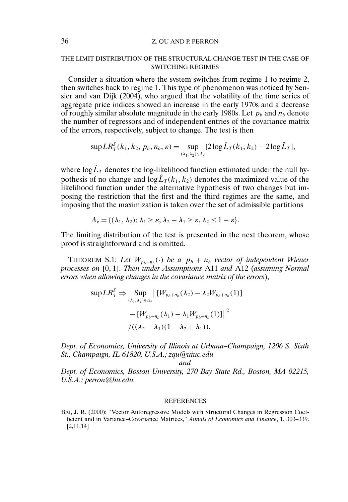## 36 Z. QU AND P. PERRON

#### THE LIMIT DISTRIBUTION OF THE STRUCTURAL CHANGE TEST IN THE CASE OF SWITCHING REGIMES

Consider a situation where the system switches from regime 1 to regime 2, then switches back to regime 1. This type of phenomenon was noticed by Sensier and van Dijk (2004), who argued that the volatility of the time series of aggregate price indices showed an increase in the early 1970s and a decrease of roughly similar absolute magnitude in the early 1980s. Let  $p_b$  and  $n_b$  denote the number of regressors and of independent entries of the covariance matrix of the errors, respectively, subject to change. The test is then

$$
\sup LR_T^S(k_1, k_2, p_b, n_b, \varepsilon) = \sup_{(\lambda_1, \lambda_2) \in \Lambda_{\varepsilon}} [2\log \hat{L}_T(k_1, k_2) - 2\log \tilde{L}_T],
$$

where  $\log \tilde{L}_T$  denotes the log-likelihood function estimated under the null hypothesis of no change and  $\log \hat{L}_T(k_1, k_2)$  denotes the maximized value of the likelihood function under the alternative hypothesis of two changes but imposing the restriction that the first and the third regimes are the same, and imposing that the maximization is taken over the set of admissible partitions

$$
\Lambda_{\varepsilon} = \{(\lambda_1, \lambda_2); \lambda_1 \geq \varepsilon, \lambda_2 - \lambda_1 \geq \varepsilon, \lambda_2 \leq 1 - \varepsilon\}.
$$

The limiting distribution of the test is presented in the next theorem, whose proof is straightforward and is omitted.

THEOREM S.1: Let  $W_{p_h+n_h}(\cdot)$  be a  $p_b+n_b$  vector of independent Wiener *processes on* [0 1] *Then under Assumptions* A11 *and* A12 (*assuming Normal errors when allowing changes in the covariance matrix of the errors*),

$$
\sup LR_T^S \Rightarrow \sup_{(\lambda_1, \lambda_2) \in \Lambda_e} \left\| [W_{p_b + n_b}(\lambda_2) - \lambda_2 W_{p_b + n_b}(1)] - [W_{p_b + n_b}(\lambda_1) - \lambda_1 W_{p_b + n_b}(1)] \right\|^2
$$
  

$$
/((\lambda_2 - \lambda_1)(1 - \lambda_2 + \lambda_1)).
$$

*Dept. of Economics, University of Illinois at Urbana–Champaign, 1206 S. Sixth St., Champaign, IL 61820, U.S.A.; zqu@uiuc.edu*

*and*

*Dept. of Economics, Boston University, 270 Bay State Rd., Boston, MA 02215, U.S.A.; perron@bu.edu.*

#### **REFERENCES**

BAI, J. R. (2000): "Vector Autoregressive Models with Structural Changes in Regression Coefficient and in Variance–Covariance Matrices," *Annals of Economics and Finance*, 1, 303–339. [2,11,14]